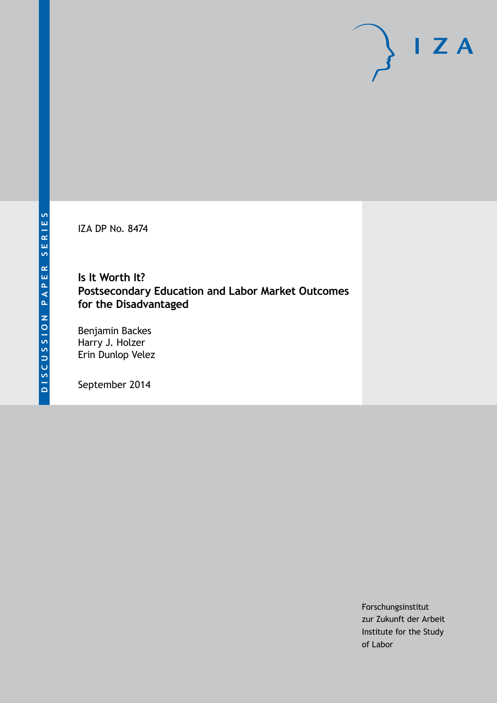IZA DP No. 8474

**Is It Worth It? Postsecondary Education and Labor Market Outcomes for the Disadvantaged**

Benjamin Backes Harry J. Holzer Erin Dunlop Velez

September 2014

Forschungsinstitut zur Zukunft der Arbeit Institute for the Study of Labor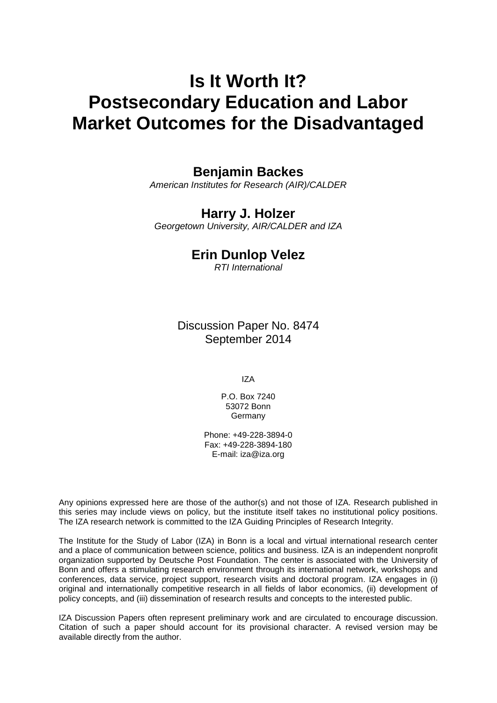# **Is It Worth It? Postsecondary Education and Labor Market Outcomes for the Disadvantaged**

# **Benjamin Backes**

*American Institutes for Research (AIR)/CALDER*

### **Harry J. Holzer**

*Georgetown University, AIR/CALDER and IZA*

# **Erin Dunlop Velez**

*RTI International*

Discussion Paper No. 8474 September 2014

IZA

P.O. Box 7240 53072 Bonn **Germany** 

Phone: +49-228-3894-0 Fax: +49-228-3894-180 E-mail: [iza@iza.org](mailto:iza@iza.org)

Any opinions expressed here are those of the author(s) and not those of IZA. Research published in this series may include views on policy, but the institute itself takes no institutional policy positions. The IZA research network is committed to the IZA Guiding Principles of Research Integrity.

The Institute for the Study of Labor (IZA) in Bonn is a local and virtual international research center and a place of communication between science, politics and business. IZA is an independent nonprofit organization supported by Deutsche Post Foundation. The center is associated with the University of Bonn and offers a stimulating research environment through its international network, workshops and conferences, data service, project support, research visits and doctoral program. IZA engages in (i) original and internationally competitive research in all fields of labor economics, (ii) development of policy concepts, and (iii) dissemination of research results and concepts to the interested public.

<span id="page-1-0"></span>IZA Discussion Papers often represent preliminary work and are circulated to encourage discussion. Citation of such a paper should account for its provisional character. A revised version may be available directly from the author.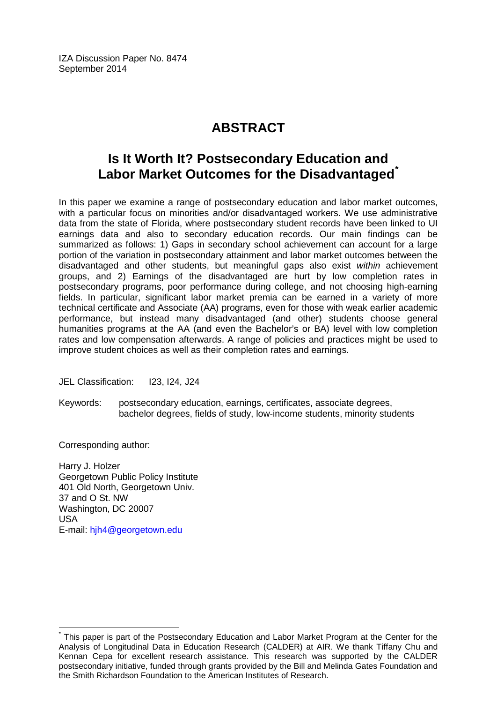IZA Discussion Paper No. 8474 September 2014

# **ABSTRACT**

# **Is It Worth It? Postsecondary Education and Labor Market Outcomes for the Disadvantaged[\\*](#page-1-0)**

In this paper we examine a range of postsecondary education and labor market outcomes, with a particular focus on minorities and/or disadvantaged workers. We use administrative data from the state of Florida, where postsecondary student records have been linked to UI earnings data and also to secondary education records. Our main findings can be summarized as follows: 1) Gaps in secondary school achievement can account for a large portion of the variation in postsecondary attainment and labor market outcomes between the disadvantaged and other students, but meaningful gaps also exist *within* achievement groups, and 2) Earnings of the disadvantaged are hurt by low completion rates in postsecondary programs, poor performance during college, and not choosing high-earning fields. In particular, significant labor market premia can be earned in a variety of more technical certificate and Associate (AA) programs, even for those with weak earlier academic performance, but instead many disadvantaged (and other) students choose general humanities programs at the AA (and even the Bachelor's or BA) level with low completion rates and low compensation afterwards. A range of policies and practices might be used to improve student choices as well as their completion rates and earnings.

JEL Classification: I23, I24, J24

Keywords: postsecondary education, earnings, certificates, associate degrees, bachelor degrees, fields of study, low-income students, minority students

Corresponding author:

Harry J. Holzer Georgetown Public Policy Institute 401 Old North, Georgetown Univ. 37 and O St. NW Washington, DC 20007 USA E-mail: [hjh4@georgetown.edu](mailto:hjh4@georgetown.edu)

This paper is part of the Postsecondary Education and Labor Market Program at the Center for the Analysis of Longitudinal Data in Education Research (CALDER) at AIR. We thank Tiffany Chu and Kennan Cepa for excellent research assistance. This research was supported by the CALDER postsecondary initiative, funded through grants provided by the Bill and Melinda Gates Foundation and the Smith Richardson Foundation to the American Institutes of Research.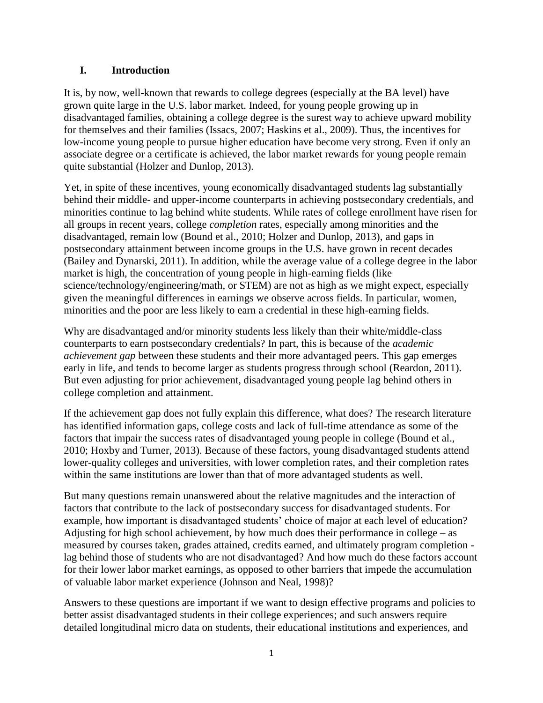#### **I. Introduction**

It is, by now, well-known that rewards to college degrees (especially at the BA level) have grown quite large in the U.S. labor market. Indeed, for young people growing up in disadvantaged families, obtaining a college degree is the surest way to achieve upward mobility for themselves and their families (Issacs, 2007; Haskins et al., 2009). Thus, the incentives for low-income young people to pursue higher education have become very strong. Even if only an associate degree or a certificate is achieved, the labor market rewards for young people remain quite substantial (Holzer and Dunlop, 2013).

Yet, in spite of these incentives, young economically disadvantaged students lag substantially behind their middle- and upper-income counterparts in achieving postsecondary credentials, and minorities continue to lag behind white students. While rates of college enrollment have risen for all groups in recent years, college *completion* rates, especially among minorities and the disadvantaged, remain low (Bound et al., 2010; Holzer and Dunlop, 2013), and gaps in postsecondary attainment between income groups in the U.S. have grown in recent decades (Bailey and Dynarski, 2011). In addition, while the average value of a college degree in the labor market is high, the concentration of young people in high-earning fields (like science/technology/engineering/math, or STEM) are not as high as we might expect, especially given the meaningful differences in earnings we observe across fields. In particular, women, minorities and the poor are less likely to earn a credential in these high-earning fields.

Why are disadvantaged and/or minority students less likely than their white/middle-class counterparts to earn postsecondary credentials? In part, this is because of the *academic achievement gap* between these students and their more advantaged peers. This gap emerges early in life, and tends to become larger as students progress through school (Reardon, 2011). But even adjusting for prior achievement, disadvantaged young people lag behind others in college completion and attainment.

If the achievement gap does not fully explain this difference, what does? The research literature has identified information gaps, college costs and lack of full-time attendance as some of the factors that impair the success rates of disadvantaged young people in college (Bound et al., 2010; Hoxby and Turner, 2013). Because of these factors, young disadvantaged students attend lower-quality colleges and universities, with lower completion rates, and their completion rates within the same institutions are lower than that of more advantaged students as well.

But many questions remain unanswered about the relative magnitudes and the interaction of factors that contribute to the lack of postsecondary success for disadvantaged students. For example, how important is disadvantaged students' choice of major at each level of education? Adjusting for high school achievement, by how much does their performance in college – as measured by courses taken, grades attained, credits earned, and ultimately program completion lag behind those of students who are not disadvantaged? And how much do these factors account for their lower labor market earnings, as opposed to other barriers that impede the accumulation of valuable labor market experience (Johnson and Neal, 1998)?

Answers to these questions are important if we want to design effective programs and policies to better assist disadvantaged students in their college experiences; and such answers require detailed longitudinal micro data on students, their educational institutions and experiences, and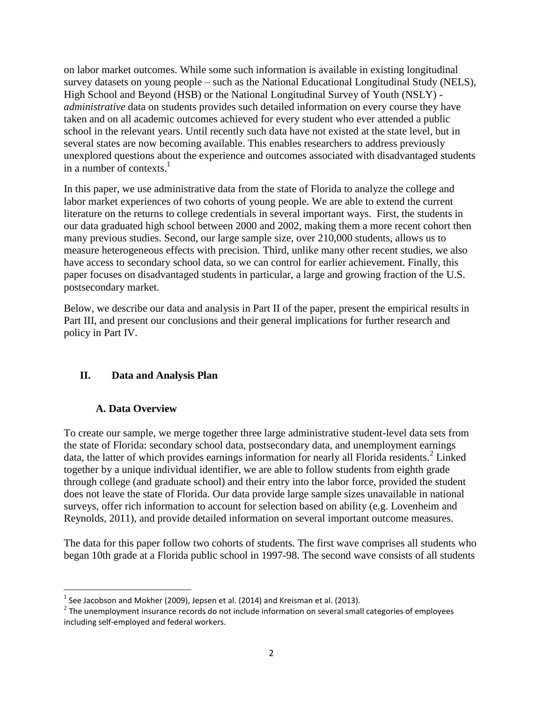on labor market outcomes. While some such information is available in existing longitudinal survey datasets on young people – such as the National Educational Longitudinal Study (NELS), High School and Beyond (HSB) or the National Longitudinal Survey of Youth (NSLY) *administrative* data on students provides such detailed information on every course they have taken and on all academic outcomes achieved for every student who ever attended a public school in the relevant years. Until recently such data have not existed at the state level, but in several states are now becoming available. This enables researchers to address previously unexplored questions about the experience and outcomes associated with disadvantaged students in a number of contexts. $<sup>1</sup>$ </sup>

In this paper, we use administrative data from the state of Florida to analyze the college and labor market experiences of two cohorts of young people. We are able to extend the current literature on the returns to college credentials in several important ways. First, the students in our data graduated high school between 2000 and 2002, making them a more recent cohort then many previous studies. Second, our large sample size, over 210,000 students, allows us to measure heterogeneous effects with precision. Third, unlike many other recent studies, we also have access to secondary school data, so we can control for earlier achievement. Finally, this paper focuses on disadvantaged students in particular, a large and growing fraction of the U.S. postsecondary market.

Below, we describe our data and analysis in Part II of the paper, present the empirical results in Part III, and present our conclusions and their general implications for further research and policy in Part IV.

#### **II. Data and Analysis Plan**

#### **A. Data Overview**

 $\overline{\phantom{a}}$ 

To create our sample, we merge together three large administrative student-level data sets from the state of Florida: secondary school data, postsecondary data, and unemployment earnings data, the latter of which provides earnings information for nearly all Florida residents.<sup>2</sup> Linked together by a unique individual identifier, we are able to follow students from eighth grade through college (and graduate school) and their entry into the labor force, provided the student does not leave the state of Florida. Our data provide large sample sizes unavailable in national surveys, offer rich information to account for selection based on ability (e.g. Lovenheim and Reynolds, 2011), and provide detailed information on several important outcome measures.

The data for this paper follow two cohorts of students. The first wave comprises all students who began 10th grade at a Florida public school in 1997-98. The second wave consists of all students

 $^1$  See Jacobson and Mokher (2009), Jepsen et al. (2014) and Kreisman et al. (2013).

 $^2$  The unemployment insurance records do not include information on several small categories of employees including self-employed and federal workers.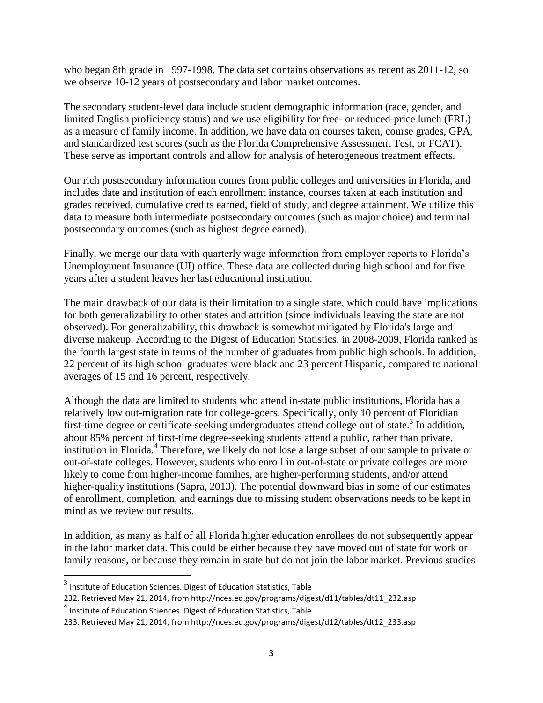who began 8th grade in 1997-1998. The data set contains observations as recent as 2011-12, so we observe 10-12 years of postsecondary and labor market outcomes.

The secondary student-level data include student demographic information (race, gender, and limited English proficiency status) and we use eligibility for free- or reduced-price lunch (FRL) as a measure of family income. In addition, we have data on courses taken, course grades, GPA, and standardized test scores (such as the Florida Comprehensive Assessment Test, or FCAT). These serve as important controls and allow for analysis of heterogeneous treatment effects.

Our rich postsecondary information comes from public colleges and universities in Florida, and includes date and institution of each enrollment instance, courses taken at each institution and grades received, cumulative credits earned, field of study, and degree attainment. We utilize this data to measure both intermediate postsecondary outcomes (such as major choice) and terminal postsecondary outcomes (such as highest degree earned).

Finally, we merge our data with quarterly wage information from employer reports to Florida's Unemployment Insurance (UI) office. These data are collected during high school and for five years after a student leaves her last educational institution.

The main drawback of our data is their limitation to a single state, which could have implications for both generalizability to other states and attrition (since individuals leaving the state are not observed). For generalizability, this drawback is somewhat mitigated by Florida's large and diverse makeup. According to the Digest of Education Statistics, in 2008-2009, Florida ranked as the fourth largest state in terms of the number of graduates from public high schools. In addition, 22 percent of its high school graduates were black and 23 percent Hispanic, compared to national averages of 15 and 16 percent, respectively.

Although the data are limited to students who attend in-state public institutions, Florida has a relatively low out-migration rate for college-goers. Specifically, only 10 percent of Floridian first-time degree or certificate-seeking undergraduates attend college out of state.<sup>3</sup> In addition, about 85% percent of first-time degree-seeking students attend a public, rather than private, institution in Florida.<sup>4</sup> Therefore, we likely do not lose a large subset of our sample to private or out-of-state colleges. However, students who enroll in out-of-state or private colleges are more likely to come from higher-income families, are higher-performing students, and/or attend higher-quality institutions (Sapra, 2013). The potential downward bias in some of our estimates of enrollment, completion, and earnings due to missing student observations needs to be kept in mind as we review our results.

In addition, as many as half of all Florida higher education enrollees do not subsequently appear in the labor market data. This could be either because they have moved out of state for work or family reasons, or because they remain in state but do not join the labor market. Previous studies

l

 $^3$  Institute of Education Sciences. Digest of Education Statistics, Table

<sup>232.</sup> Retrieved May 21, 2014, from http://nces.ed.gov/programs/digest/d11/tables/dt11\_232.asp

<sup>&</sup>lt;sup>4</sup> Institute of Education Sciences. Digest of Education Statistics, Table

<sup>233.</sup> Retrieved May 21, 2014, from http://nces.ed.gov/programs/digest/d12/tables/dt12\_233.asp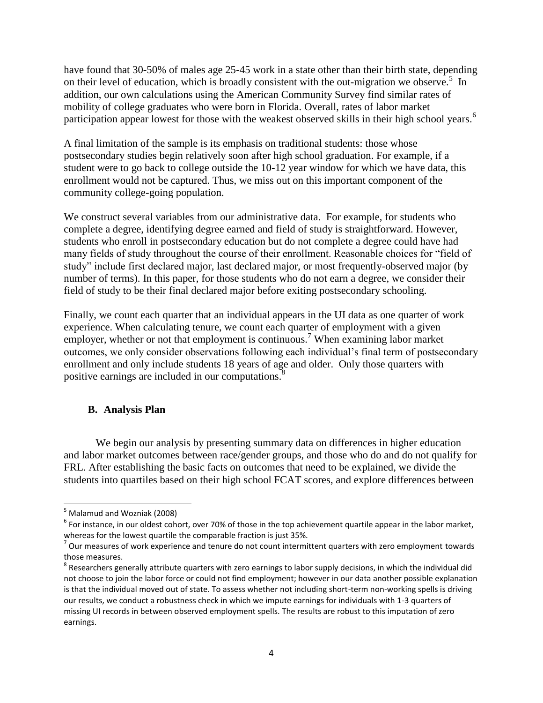have found that 30-50% of males age 25-45 work in a state other than their birth state, depending on their level of education, which is broadly consistent with the out-migration we observe.<sup>5</sup> In addition, our own calculations using the American Community Survey find similar rates of mobility of college graduates who were born in Florida. Overall, rates of labor market participation appear lowest for those with the weakest observed skills in their high school years.<sup>6</sup>

A final limitation of the sample is its emphasis on traditional students: those whose postsecondary studies begin relatively soon after high school graduation. For example, if a student were to go back to college outside the 10-12 year window for which we have data, this enrollment would not be captured. Thus, we miss out on this important component of the community college-going population.

We construct several variables from our administrative data. For example, for students who complete a degree, identifying degree earned and field of study is straightforward. However, students who enroll in postsecondary education but do not complete a degree could have had many fields of study throughout the course of their enrollment. Reasonable choices for "field of study" include first declared major, last declared major, or most frequently-observed major (by number of terms). In this paper, for those students who do not earn a degree, we consider their field of study to be their final declared major before exiting postsecondary schooling.

Finally, we count each quarter that an individual appears in the UI data as one quarter of work experience. When calculating tenure, we count each quarter of employment with a given employer, whether or not that employment is continuous.<sup>7</sup> When examining labor market outcomes, we only consider observations following each individual's final term of postsecondary enrollment and only include students 18 years of age and older. Only those quarters with positive earnings are included in our computations.<sup>8</sup>

#### **B. Analysis Plan**

We begin our analysis by presenting summary data on differences in higher education and labor market outcomes between race/gender groups, and those who do and do not qualify for FRL. After establishing the basic facts on outcomes that need to be explained, we divide the students into quartiles based on their high school FCAT scores, and explore differences between

l

<sup>5</sup> Malamud and Wozniak (2008)

 $^6$  For instance, in our oldest cohort, over 70% of those in the top achievement quartile appear in the labor market, whereas for the lowest quartile the comparable fraction is just 35%.

 $^7$  Our measures of work experience and tenure do not count intermittent quarters with zero employment towards those measures.

 $^8$  Researchers generally attribute quarters with zero earnings to labor supply decisions, in which the individual did not choose to join the labor force or could not find employment; however in our data another possible explanation is that the individual moved out of state. To assess whether not including short-term non-working spells is driving our results, we conduct a robustness check in which we impute earnings for individuals with 1-3 quarters of missing UI records in between observed employment spells. The results are robust to this imputation of zero earnings.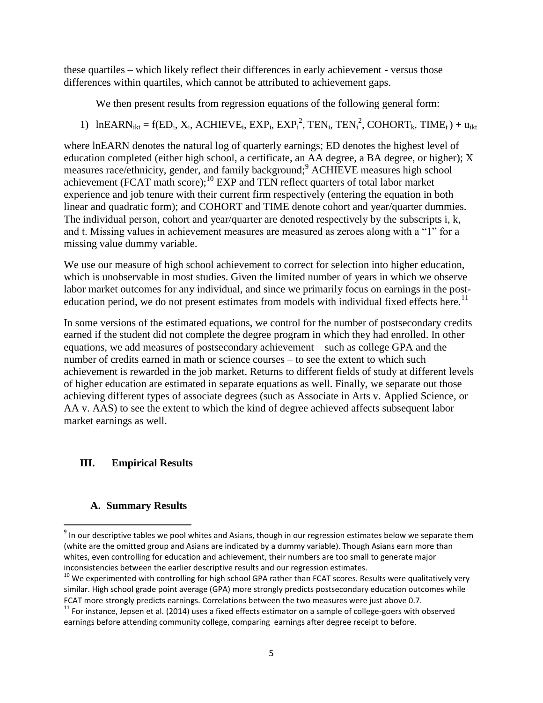these quartiles – which likely reflect their differences in early achievement - versus those differences within quartiles, which cannot be attributed to achievement gaps.

We then present results from regression equations of the following general form:

1) 
$$
lnEARN_{ikt} = f(ED_i, X_i, ACHIEVE_i, EXP_i, EXP_i^2, TEN_i, TEN_i^2, COHORT_k, TIME_t) + u_{ikt}
$$

where lnEARN denotes the natural log of quarterly earnings; ED denotes the highest level of education completed (either high school, a certificate, an AA degree, a BA degree, or higher); X measures race/ethnicity, gender, and family background;<sup>9</sup> ACHIEVE measures high school achievement (FCAT math score); <sup>10</sup> EXP and TEN reflect quarters of total labor market experience and job tenure with their current firm respectively (entering the equation in both linear and quadratic form); and COHORT and TIME denote cohort and year/quarter dummies. The individual person, cohort and year/quarter are denoted respectively by the subscripts i, k, and t. Missing values in achievement measures are measured as zeroes along with a "1" for a missing value dummy variable.

We use our measure of high school achievement to correct for selection into higher education, which is unobservable in most studies. Given the limited number of years in which we observe labor market outcomes for any individual, and since we primarily focus on earnings in the posteducation period, we do not present estimates from models with individual fixed effects here.<sup>11</sup>

In some versions of the estimated equations, we control for the number of postsecondary credits earned if the student did not complete the degree program in which they had enrolled. In other equations, we add measures of postsecondary achievement – such as college GPA and the number of credits earned in math or science courses – to see the extent to which such achievement is rewarded in the job market. Returns to different fields of study at different levels of higher education are estimated in separate equations as well. Finally, we separate out those achieving different types of associate degrees (such as Associate in Arts v. Applied Science, or AA v. AAS) to see the extent to which the kind of degree achieved affects subsequent labor market earnings as well.

#### **III. Empirical Results**

#### **A. Summary Results**

 $\overline{\phantom{a}}$ 

 $9$  In our descriptive tables we pool whites and Asians, though in our regression estimates below we separate them (white are the omitted group and Asians are indicated by a dummy variable). Though Asians earn more than whites, even controlling for education and achievement, their numbers are too small to generate major inconsistencies between the earlier descriptive results and our regression estimates.

 $10$  We experimented with controlling for high school GPA rather than FCAT scores. Results were qualitatively very similar. High school grade point average (GPA) more strongly predicts postsecondary education outcomes while FCAT more strongly predicts earnings. Correlations between the two measures were just above 0.7.

 $11$  For instance, Jepsen et al. (2014) uses a fixed effects estimator on a sample of college-goers with observed earnings before attending community college, comparing earnings after degree receipt to before.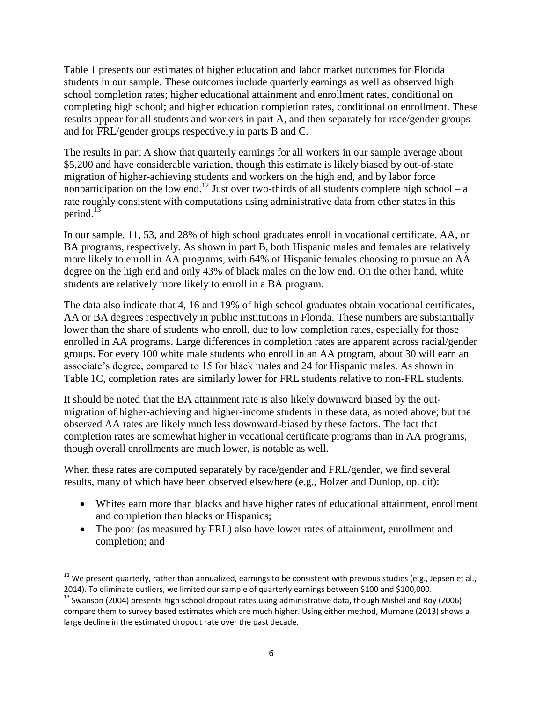Table 1 presents our estimates of higher education and labor market outcomes for Florida students in our sample. These outcomes include quarterly earnings as well as observed high school completion rates; higher educational attainment and enrollment rates, conditional on completing high school; and higher education completion rates, conditional on enrollment. These results appear for all students and workers in part A, and then separately for race/gender groups and for FRL/gender groups respectively in parts B and C.

The results in part A show that quarterly earnings for all workers in our sample average about \$5,200 and have considerable variation, though this estimate is likely biased by out-of-state migration of higher-achieving students and workers on the high end, and by labor force nonparticipation on the low end.<sup>12</sup> Just over two-thirds of all students complete high school – a rate roughly consistent with computations using administrative data from other states in this period.<sup>13</sup>

In our sample, 11, 53, and 28% of high school graduates enroll in vocational certificate, AA, or BA programs, respectively. As shown in part B, both Hispanic males and females are relatively more likely to enroll in AA programs, with 64% of Hispanic females choosing to pursue an AA degree on the high end and only 43% of black males on the low end. On the other hand, white students are relatively more likely to enroll in a BA program.

The data also indicate that 4, 16 and 19% of high school graduates obtain vocational certificates, AA or BA degrees respectively in public institutions in Florida. These numbers are substantially lower than the share of students who enroll, due to low completion rates, especially for those enrolled in AA programs. Large differences in completion rates are apparent across racial/gender groups. For every 100 white male students who enroll in an AA program, about 30 will earn an associate's degree, compared to 15 for black males and 24 for Hispanic males. As shown in Table 1C, completion rates are similarly lower for FRL students relative to non-FRL students.

It should be noted that the BA attainment rate is also likely downward biased by the outmigration of higher-achieving and higher-income students in these data, as noted above; but the observed AA rates are likely much less downward-biased by these factors. The fact that completion rates are somewhat higher in vocational certificate programs than in AA programs, though overall enrollments are much lower, is notable as well.

When these rates are computed separately by race/gender and FRL/gender, we find several results, many of which have been observed elsewhere (e.g., Holzer and Dunlop, op. cit):

- Whites earn more than blacks and have higher rates of educational attainment, enrollment and completion than blacks or Hispanics;
- The poor (as measured by FRL) also have lower rates of attainment, enrollment and completion; and

 $\overline{\phantom{a}}$  $12$  We present quarterly, rather than annualized, earnings to be consistent with previous studies (e.g., Jepsen et al., 2014). To eliminate outliers, we limited our sample of quarterly earnings between \$100 and \$100,000.

 $13$  Swanson (2004) presents high school dropout rates using administrative data, though Mishel and Roy (2006) compare them to survey-based estimates which are much higher. Using either method, Murnane (2013) shows a large decline in the estimated dropout rate over the past decade.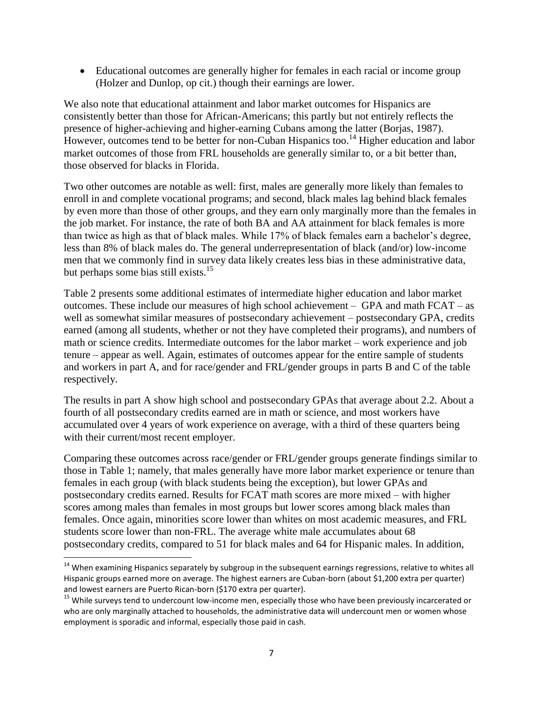Educational outcomes are generally higher for females in each racial or income group (Holzer and Dunlop, op cit.) though their earnings are lower.

We also note that educational attainment and labor market outcomes for Hispanics are consistently better than those for African-Americans; this partly but not entirely reflects the presence of higher-achieving and higher-earning Cubans among the latter (Borjas, 1987). However, outcomes tend to be better for non-Cuban Hispanics too.<sup>14</sup> Higher education and labor market outcomes of those from FRL households are generally similar to, or a bit better than, those observed for blacks in Florida.

Two other outcomes are notable as well: first, males are generally more likely than females to enroll in and complete vocational programs; and second, black males lag behind black females by even more than those of other groups, and they earn only marginally more than the females in the job market. For instance, the rate of both BA and AA attainment for black females is more than twice as high as that of black males. While 17% of black females earn a bachelor's degree, less than 8% of black males do. The general underrepresentation of black (and/or) low-income men that we commonly find in survey data likely creates less bias in these administrative data, but perhaps some bias still exists.<sup>15</sup>

Table 2 presents some additional estimates of intermediate higher education and labor market outcomes. These include our measures of high school achievement – GPA and math FCAT – as well as somewhat similar measures of postsecondary achievement – postsecondary GPA, credits earned (among all students, whether or not they have completed their programs), and numbers of math or science credits. Intermediate outcomes for the labor market – work experience and job tenure – appear as well. Again, estimates of outcomes appear for the entire sample of students and workers in part A, and for race/gender and FRL/gender groups in parts B and C of the table respectively.

The results in part A show high school and postsecondary GPAs that average about 2.2. About a fourth of all postsecondary credits earned are in math or science, and most workers have accumulated over 4 years of work experience on average, with a third of these quarters being with their current/most recent employer.

Comparing these outcomes across race/gender or FRL/gender groups generate findings similar to those in Table 1; namely, that males generally have more labor market experience or tenure than females in each group (with black students being the exception), but lower GPAs and postsecondary credits earned. Results for FCAT math scores are more mixed – with higher scores among males than females in most groups but lower scores among black males than females. Once again, minorities score lower than whites on most academic measures, and FRL students score lower than non-FRL. The average white male accumulates about 68 postsecondary credits, compared to 51 for black males and 64 for Hispanic males. In addition,

l

<sup>&</sup>lt;sup>14</sup> When examining Hispanics separately by subgroup in the subsequent earnings regressions, relative to whites all Hispanic groups earned more on average. The highest earners are Cuban-born (about \$1,200 extra per quarter) and lowest earners are Puerto Rican-born (\$170 extra per quarter).

<sup>&</sup>lt;sup>15</sup> While surveys tend to undercount low-income men, especially those who have been previously incarcerated or who are only marginally attached to households, the administrative data will undercount men or women whose employment is sporadic and informal, especially those paid in cash.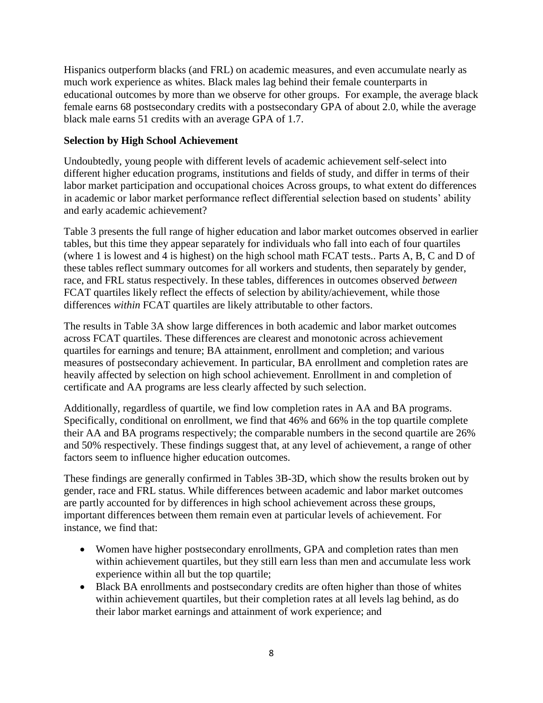Hispanics outperform blacks (and FRL) on academic measures, and even accumulate nearly as much work experience as whites. Black males lag behind their female counterparts in educational outcomes by more than we observe for other groups. For example, the average black female earns 68 postsecondary credits with a postsecondary GPA of about 2.0, while the average black male earns 51 credits with an average GPA of 1.7.

#### **Selection by High School Achievement**

Undoubtedly, young people with different levels of academic achievement self-select into different higher education programs, institutions and fields of study, and differ in terms of their labor market participation and occupational choices Across groups, to what extent do differences in academic or labor market performance reflect differential selection based on students' ability and early academic achievement?

Table 3 presents the full range of higher education and labor market outcomes observed in earlier tables, but this time they appear separately for individuals who fall into each of four quartiles (where 1 is lowest and 4 is highest) on the high school math FCAT tests.. Parts A, B, C and D of these tables reflect summary outcomes for all workers and students, then separately by gender, race, and FRL status respectively. In these tables, differences in outcomes observed *between* FCAT quartiles likely reflect the effects of selection by ability/achievement, while those differences *within* FCAT quartiles are likely attributable to other factors.

The results in Table 3A show large differences in both academic and labor market outcomes across FCAT quartiles. These differences are clearest and monotonic across achievement quartiles for earnings and tenure; BA attainment, enrollment and completion; and various measures of postsecondary achievement. In particular, BA enrollment and completion rates are heavily affected by selection on high school achievement. Enrollment in and completion of certificate and AA programs are less clearly affected by such selection.

Additionally, regardless of quartile, we find low completion rates in AA and BA programs. Specifically, conditional on enrollment, we find that 46% and 66% in the top quartile complete their AA and BA programs respectively; the comparable numbers in the second quartile are 26% and 50% respectively. These findings suggest that, at any level of achievement, a range of other factors seem to influence higher education outcomes.

These findings are generally confirmed in Tables 3B-3D, which show the results broken out by gender, race and FRL status. While differences between academic and labor market outcomes are partly accounted for by differences in high school achievement across these groups, important differences between them remain even at particular levels of achievement. For instance, we find that:

- Women have higher postsecondary enrollments, GPA and completion rates than men within achievement quartiles, but they still earn less than men and accumulate less work experience within all but the top quartile;
- Black BA enrollments and postsecondary credits are often higher than those of whites within achievement quartiles, but their completion rates at all levels lag behind, as do their labor market earnings and attainment of work experience; and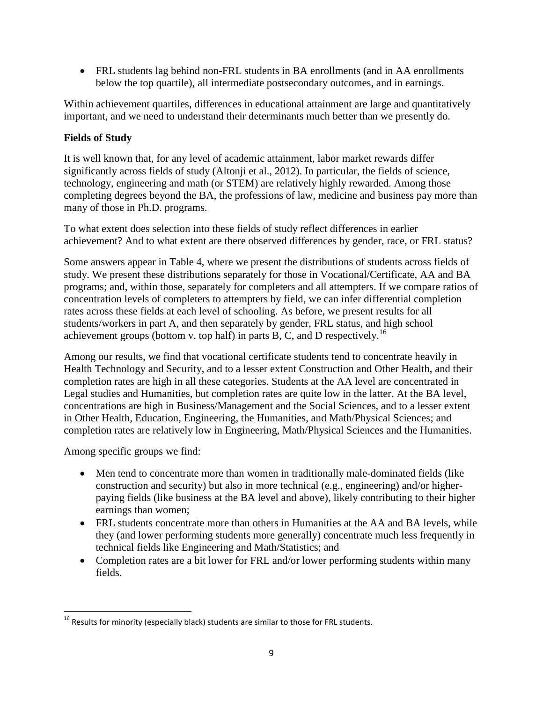FRL students lag behind non-FRL students in BA enrollments (and in AA enrollments below the top quartile), all intermediate postsecondary outcomes, and in earnings.

Within achievement quartiles, differences in educational attainment are large and quantitatively important, and we need to understand their determinants much better than we presently do.

### **Fields of Study**

It is well known that, for any level of academic attainment, labor market rewards differ significantly across fields of study (Altonji et al., 2012). In particular, the fields of science, technology, engineering and math (or STEM) are relatively highly rewarded. Among those completing degrees beyond the BA, the professions of law, medicine and business pay more than many of those in Ph.D. programs.

To what extent does selection into these fields of study reflect differences in earlier achievement? And to what extent are there observed differences by gender, race, or FRL status?

Some answers appear in Table 4, where we present the distributions of students across fields of study. We present these distributions separately for those in Vocational/Certificate, AA and BA programs; and, within those, separately for completers and all attempters. If we compare ratios of concentration levels of completers to attempters by field, we can infer differential completion rates across these fields at each level of schooling. As before, we present results for all students/workers in part A, and then separately by gender, FRL status, and high school achievement groups (bottom v. top half) in parts B, C, and D respectively.<sup>16</sup>

Among our results, we find that vocational certificate students tend to concentrate heavily in Health Technology and Security, and to a lesser extent Construction and Other Health, and their completion rates are high in all these categories. Students at the AA level are concentrated in Legal studies and Humanities, but completion rates are quite low in the latter. At the BA level, concentrations are high in Business/Management and the Social Sciences, and to a lesser extent in Other Health, Education, Engineering, the Humanities, and Math/Physical Sciences; and completion rates are relatively low in Engineering, Math/Physical Sciences and the Humanities.

Among specific groups we find:

 $\overline{\phantom{a}}$ 

- Men tend to concentrate more than women in traditionally male-dominated fields (like construction and security) but also in more technical (e.g., engineering) and/or higherpaying fields (like business at the BA level and above), likely contributing to their higher earnings than women;
- FRL students concentrate more than others in Humanities at the AA and BA levels, while they (and lower performing students more generally) concentrate much less frequently in technical fields like Engineering and Math/Statistics; and
- Completion rates are a bit lower for FRL and/or lower performing students within many fields.

 $^{16}$  Results for minority (especially black) students are similar to those for FRL students.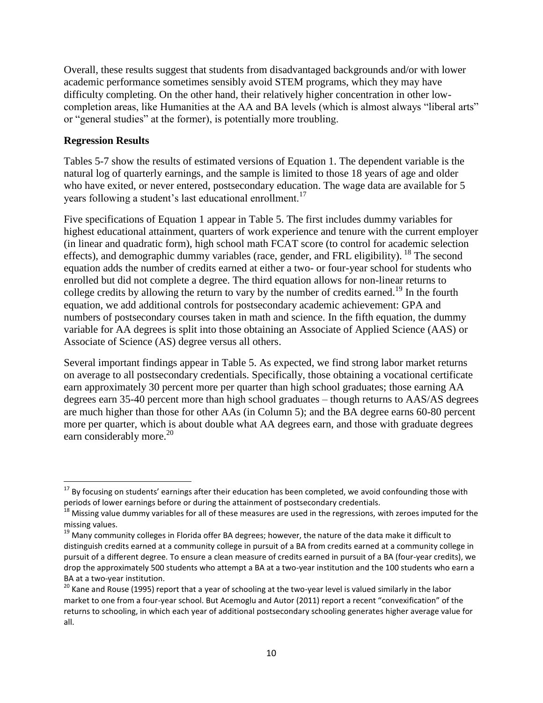Overall, these results suggest that students from disadvantaged backgrounds and/or with lower academic performance sometimes sensibly avoid STEM programs, which they may have difficulty completing. On the other hand, their relatively higher concentration in other lowcompletion areas, like Humanities at the AA and BA levels (which is almost always "liberal arts" or "general studies" at the former), is potentially more troubling.

#### **Regression Results**

Tables 5-7 show the results of estimated versions of Equation 1. The dependent variable is the natural log of quarterly earnings, and the sample is limited to those 18 years of age and older who have exited, or never entered, postsecondary education. The wage data are available for 5 years following a student's last educational enrollment.<sup>17</sup>

Five specifications of Equation 1 appear in Table 5. The first includes dummy variables for highest educational attainment, quarters of work experience and tenure with the current employer (in linear and quadratic form), high school math FCAT score (to control for academic selection effects), and demographic dummy variables (race, gender, and FRL eligibility). <sup>18</sup> The second equation adds the number of credits earned at either a two- or four-year school for students who enrolled but did not complete a degree. The third equation allows for non-linear returns to college credits by allowing the return to vary by the number of credits earned.<sup>19</sup> In the fourth equation, we add additional controls for postsecondary academic achievement: GPA and numbers of postsecondary courses taken in math and science. In the fifth equation, the dummy variable for AA degrees is split into those obtaining an Associate of Applied Science (AAS) or Associate of Science (AS) degree versus all others.

Several important findings appear in Table 5. As expected, we find strong labor market returns on average to all postsecondary credentials. Specifically, those obtaining a vocational certificate earn approximately 30 percent more per quarter than high school graduates; those earning AA degrees earn 35-40 percent more than high school graduates – though returns to AAS/AS degrees are much higher than those for other AAs (in Column 5); and the BA degree earns 60-80 percent more per quarter, which is about double what AA degrees earn, and those with graduate degrees earn considerably more.<sup>20</sup>

l  $17$  By focusing on students' earnings after their education has been completed, we avoid confounding those with periods of lower earnings before or during the attainment of postsecondary credentials.

 $^{18}$  Missing value dummy variables for all of these measures are used in the regressions, with zeroes imputed for the missing values.

<sup>&</sup>lt;sup>19</sup> Many community colleges in Florida offer BA degrees; however, the nature of the data make it difficult to distinguish credits earned at a community college in pursuit of a BA from credits earned at a community college in pursuit of a different degree. To ensure a clean measure of credits earned in pursuit of a BA (four-year credits), we drop the approximately 500 students who attempt a BA at a two-year institution and the 100 students who earn a BA at a two-year institution.

<sup>&</sup>lt;sup>20</sup> Kane and Rouse (1995) report that a year of schooling at the two-year level is valued similarly in the labor market to one from a four-year school. But Acemoglu and Autor (2011) report a recent "convexification" of the returns to schooling, in which each year of additional postsecondary schooling generates higher average value for all.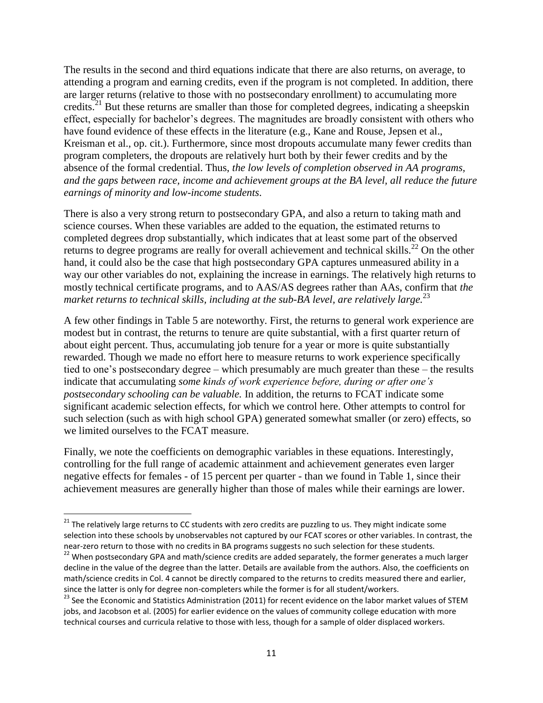The results in the second and third equations indicate that there are also returns, on average, to attending a program and earning credits, even if the program is not completed. In addition, there are larger returns (relative to those with no postsecondary enrollment) to accumulating more credits.<sup>21</sup> But these returns are smaller than those for completed degrees, indicating a sheepskin effect, especially for bachelor's degrees. The magnitudes are broadly consistent with others who have found evidence of these effects in the literature (e.g., Kane and Rouse, Jepsen et al., Kreisman et al., op. cit.). Furthermore, since most dropouts accumulate many fewer credits than program completers, the dropouts are relatively hurt both by their fewer credits and by the absence of the formal credential. Thus, *the low levels of completion observed in AA programs, and the gaps between race, income and achievement groups at the BA level, all reduce the future earnings of minority and low-income students*.

There is also a very strong return to postsecondary GPA, and also a return to taking math and science courses. When these variables are added to the equation, the estimated returns to completed degrees drop substantially, which indicates that at least some part of the observed returns to degree programs are really for overall achievement and technical skills.<sup>22</sup> On the other hand, it could also be the case that high postsecondary GPA captures unmeasured ability in a way our other variables do not, explaining the increase in earnings. The relatively high returns to mostly technical certificate programs, and to AAS/AS degrees rather than AAs, confirm that *the market returns to technical skills, including at the sub-BA level, are relatively large.* 23

A few other findings in Table 5 are noteworthy. First, the returns to general work experience are modest but in contrast, the returns to tenure are quite substantial, with a first quarter return of about eight percent. Thus, accumulating job tenure for a year or more is quite substantially rewarded. Though we made no effort here to measure returns to work experience specifically tied to one's postsecondary degree – which presumably are much greater than these – the results indicate that accumulating *some kinds of work experience before, during or after one's postsecondary schooling can be valuable.* In addition, the returns to FCAT indicate some significant academic selection effects, for which we control here. Other attempts to control for such selection (such as with high school GPA) generated somewhat smaller (or zero) effects, so we limited ourselves to the FCAT measure.

Finally, we note the coefficients on demographic variables in these equations. Interestingly, controlling for the full range of academic attainment and achievement generates even larger negative effects for females - of 15 percent per quarter - than we found in Table 1, since their achievement measures are generally higher than those of males while their earnings are lower.

 $\overline{\phantom{a}}$ 

 $^{21}$  The relatively large returns to CC students with zero credits are puzzling to us. They might indicate some selection into these schools by unobservables not captured by our FCAT scores or other variables. In contrast, the near-zero return to those with no credits in BA programs suggests no such selection for these students.

<sup>&</sup>lt;sup>22</sup> When postsecondary GPA and math/science credits are added separately, the former generates a much larger decline in the value of the degree than the latter. Details are available from the authors. Also, the coefficients on math/science credits in Col. 4 cannot be directly compared to the returns to credits measured there and earlier, since the latter is only for degree non-completers while the former is for all student/workers.

<sup>&</sup>lt;sup>23</sup> See the Economic and Statistics Administration (2011) for recent evidence on the labor market values of STEM jobs, and Jacobson et al. (2005) for earlier evidence on the values of community college education with more technical courses and curricula relative to those with less, though for a sample of older displaced workers.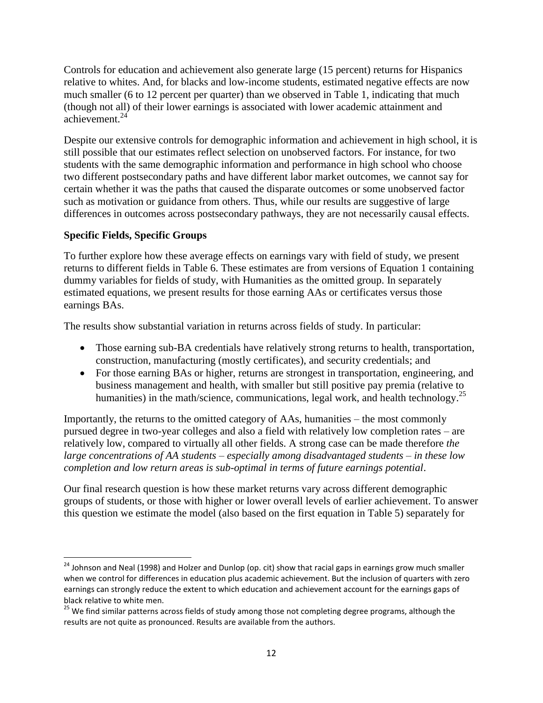Controls for education and achievement also generate large (15 percent) returns for Hispanics relative to whites. And, for blacks and low-income students, estimated negative effects are now much smaller (6 to 12 percent per quarter) than we observed in Table 1, indicating that much (though not all) of their lower earnings is associated with lower academic attainment and achievement.<sup>24</sup>

Despite our extensive controls for demographic information and achievement in high school, it is still possible that our estimates reflect selection on unobserved factors. For instance, for two students with the same demographic information and performance in high school who choose two different postsecondary paths and have different labor market outcomes, we cannot say for certain whether it was the paths that caused the disparate outcomes or some unobserved factor such as motivation or guidance from others. Thus, while our results are suggestive of large differences in outcomes across postsecondary pathways, they are not necessarily causal effects.

#### **Specific Fields, Specific Groups**

l

To further explore how these average effects on earnings vary with field of study, we present returns to different fields in Table 6. These estimates are from versions of Equation 1 containing dummy variables for fields of study, with Humanities as the omitted group. In separately estimated equations, we present results for those earning AAs or certificates versus those earnings BAs.

The results show substantial variation in returns across fields of study. In particular:

- Those earning sub-BA credentials have relatively strong returns to health, transportation, construction, manufacturing (mostly certificates), and security credentials; and
- For those earning BAs or higher, returns are strongest in transportation, engineering, and business management and health, with smaller but still positive pay premia (relative to humanities) in the math/science, communications, legal work, and health technology.<sup>25</sup>

Importantly, the returns to the omitted category of AAs, humanities – the most commonly pursued degree in two-year colleges and also a field with relatively low completion rates – are relatively low, compared to virtually all other fields. A strong case can be made therefore *the large concentrations of AA students – especially among disadvantaged students – in these low completion and low return areas is sub-optimal in terms of future earnings potential*.

Our final research question is how these market returns vary across different demographic groups of students, or those with higher or lower overall levels of earlier achievement. To answer this question we estimate the model (also based on the first equation in Table 5) separately for

<sup>&</sup>lt;sup>24</sup> Johnson and Neal (1998) and Holzer and Dunlop (op. cit) show that racial gaps in earnings grow much smaller when we control for differences in education plus academic achievement. But the inclusion of quarters with zero earnings can strongly reduce the extent to which education and achievement account for the earnings gaps of black relative to white men.

<sup>&</sup>lt;sup>25</sup> We find similar patterns across fields of study among those not completing degree programs, although the results are not quite as pronounced. Results are available from the authors.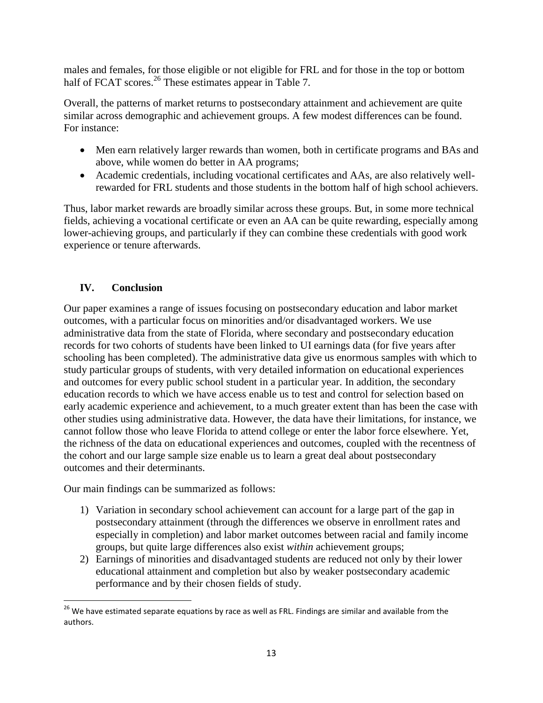males and females, for those eligible or not eligible for FRL and for those in the top or bottom half of FCAT scores.<sup>26</sup> These estimates appear in Table 7.

Overall, the patterns of market returns to postsecondary attainment and achievement are quite similar across demographic and achievement groups. A few modest differences can be found. For instance:

- Men earn relatively larger rewards than women, both in certificate programs and BAs and above, while women do better in AA programs;
- Academic credentials, including vocational certificates and AAs, are also relatively wellrewarded for FRL students and those students in the bottom half of high school achievers.

Thus, labor market rewards are broadly similar across these groups. But, in some more technical fields, achieving a vocational certificate or even an AA can be quite rewarding, especially among lower-achieving groups, and particularly if they can combine these credentials with good work experience or tenure afterwards.

### **IV. Conclusion**

 $\overline{\phantom{a}}$ 

Our paper examines a range of issues focusing on postsecondary education and labor market outcomes, with a particular focus on minorities and/or disadvantaged workers. We use administrative data from the state of Florida, where secondary and postsecondary education records for two cohorts of students have been linked to UI earnings data (for five years after schooling has been completed). The administrative data give us enormous samples with which to study particular groups of students, with very detailed information on educational experiences and outcomes for every public school student in a particular year. In addition, the secondary education records to which we have access enable us to test and control for selection based on early academic experience and achievement, to a much greater extent than has been the case with other studies using administrative data. However, the data have their limitations, for instance, we cannot follow those who leave Florida to attend college or enter the labor force elsewhere. Yet, the richness of the data on educational experiences and outcomes, coupled with the recentness of the cohort and our large sample size enable us to learn a great deal about postsecondary outcomes and their determinants.

Our main findings can be summarized as follows:

- 1) Variation in secondary school achievement can account for a large part of the gap in postsecondary attainment (through the differences we observe in enrollment rates and especially in completion) and labor market outcomes between racial and family income groups, but quite large differences also exist *within* achievement groups;
- 2) Earnings of minorities and disadvantaged students are reduced not only by their lower educational attainment and completion but also by weaker postsecondary academic performance and by their chosen fields of study.

<sup>&</sup>lt;sup>26</sup> We have estimated separate equations by race as well as FRL. Findings are similar and available from the authors.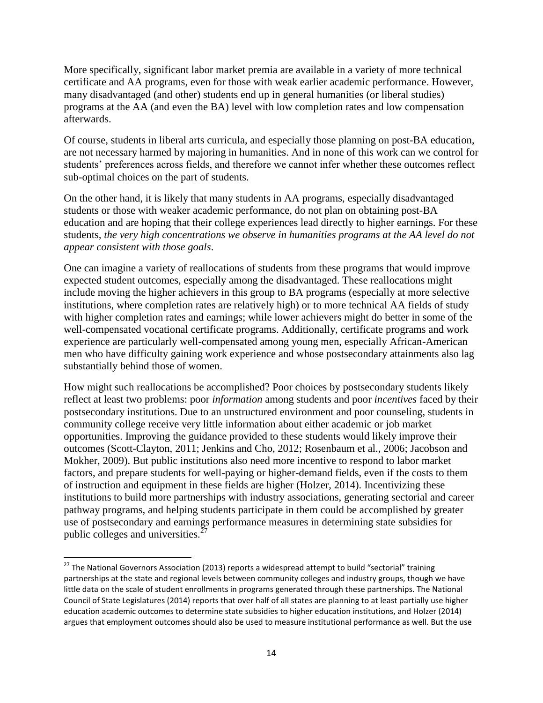More specifically, significant labor market premia are available in a variety of more technical certificate and AA programs, even for those with weak earlier academic performance. However, many disadvantaged (and other) students end up in general humanities (or liberal studies) programs at the AA (and even the BA) level with low completion rates and low compensation afterwards.

Of course, students in liberal arts curricula, and especially those planning on post-BA education, are not necessary harmed by majoring in humanities. And in none of this work can we control for students' preferences across fields, and therefore we cannot infer whether these outcomes reflect sub-optimal choices on the part of students.

On the other hand, it is likely that many students in AA programs, especially disadvantaged students or those with weaker academic performance, do not plan on obtaining post-BA education and are hoping that their college experiences lead directly to higher earnings. For these students*, the very high concentrations we observe in humanities programs at the AA level do not appear consistent with those goals*.

One can imagine a variety of reallocations of students from these programs that would improve expected student outcomes, especially among the disadvantaged. These reallocations might include moving the higher achievers in this group to BA programs (especially at more selective institutions, where completion rates are relatively high) or to more technical AA fields of study with higher completion rates and earnings; while lower achievers might do better in some of the well-compensated vocational certificate programs. Additionally, certificate programs and work experience are particularly well-compensated among young men, especially African-American men who have difficulty gaining work experience and whose postsecondary attainments also lag substantially behind those of women.

How might such reallocations be accomplished? Poor choices by postsecondary students likely reflect at least two problems: poor *information* among students and poor *incentives* faced by their postsecondary institutions. Due to an unstructured environment and poor counseling, students in community college receive very little information about either academic or job market opportunities. Improving the guidance provided to these students would likely improve their outcomes (Scott-Clayton, 2011; Jenkins and Cho, 2012; Rosenbaum et al., 2006; Jacobson and Mokher, 2009). But public institutions also need more incentive to respond to labor market factors, and prepare students for well-paying or higher-demand fields, even if the costs to them of instruction and equipment in these fields are higher (Holzer, 2014). Incentivizing these institutions to build more partnerships with industry associations, generating sectorial and career pathway programs, and helping students participate in them could be accomplished by greater use of postsecondary and earnings performance measures in determining state subsidies for public colleges and universities. $27$ 

l

 $^{27}$  The National Governors Association (2013) reports a widespread attempt to build "sectorial" training partnerships at the state and regional levels between community colleges and industry groups, though we have little data on the scale of student enrollments in programs generated through these partnerships. The National Council of State Legislatures (2014) reports that over half of all states are planning to at least partially use higher education academic outcomes to determine state subsidies to higher education institutions, and Holzer (2014) argues that employment outcomes should also be used to measure institutional performance as well. But the use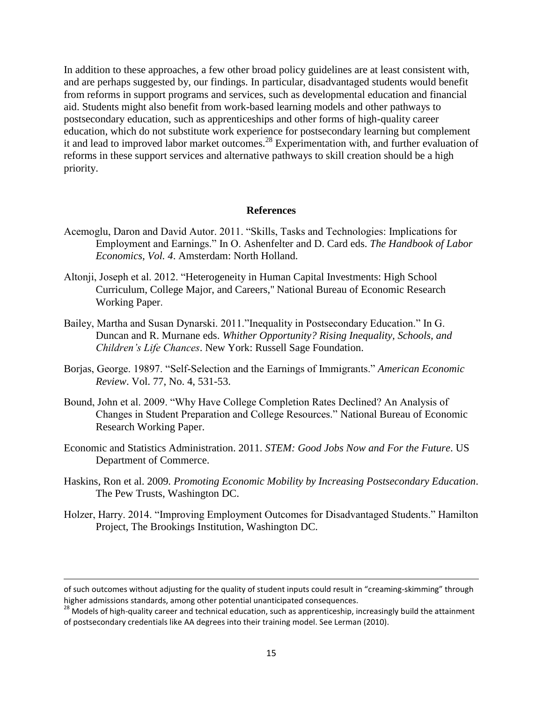In addition to these approaches, a few other broad policy guidelines are at least consistent with, and are perhaps suggested by, our findings. In particular, disadvantaged students would benefit from reforms in support programs and services, such as developmental education and financial aid. Students might also benefit from work-based learning models and other pathways to postsecondary education, such as apprenticeships and other forms of high-quality career education, which do not substitute work experience for postsecondary learning but complement it and lead to improved labor market outcomes.<sup>28</sup> Experimentation with, and further evaluation of reforms in these support services and alternative pathways to skill creation should be a high priority.

#### **References**

- Acemoglu, Daron and David Autor. 2011. "Skills, Tasks and Technologies: Implications for Employment and Earnings." In O. Ashenfelter and D. Card eds. *The Handbook of Labor Economics, Vol. 4*. Amsterdam: North Holland.
- Altonji, Joseph et al. 2012. "Heterogeneity in Human Capital Investments: High School Curriculum, College Major, and Careers," National Bureau of Economic Research Working Paper.
- Bailey, Martha and Susan Dynarski. 2011."Inequality in Postsecondary Education." In G. Duncan and R. Murnane eds. *Whither Opportunity? Rising Inequality, Schools, and Children's Life Chances*. New York: Russell Sage Foundation.
- Borjas, George. 19897. "Self-Selection and the Earnings of Immigrants." *American Economic Review*. Vol. 77, No. 4, 531-53.
- Bound, John et al. 2009. "Why Have College Completion Rates Declined? An Analysis of Changes in Student Preparation and College Resources." National Bureau of Economic Research Working Paper.
- Economic and Statistics Administration. 2011. *STEM: Good Jobs Now and For the Future*. US Department of Commerce.
- Haskins, Ron et al. 2009*. Promoting Economic Mobility by Increasing Postsecondary Education*. The Pew Trusts, Washington DC.
- Holzer, Harry. 2014. "Improving Employment Outcomes for Disadvantaged Students." Hamilton Project, The Brookings Institution, Washington DC.

 $\overline{a}$ 

of such outcomes without adjusting for the quality of student inputs could result in "creaming-skimming" through higher admissions standards, among other potential unanticipated consequences.

<sup>&</sup>lt;sup>28</sup> Models of high-quality career and technical education, such as apprenticeship, increasingly build the attainment of postsecondary credentials like AA degrees into their training model. See Lerman (2010).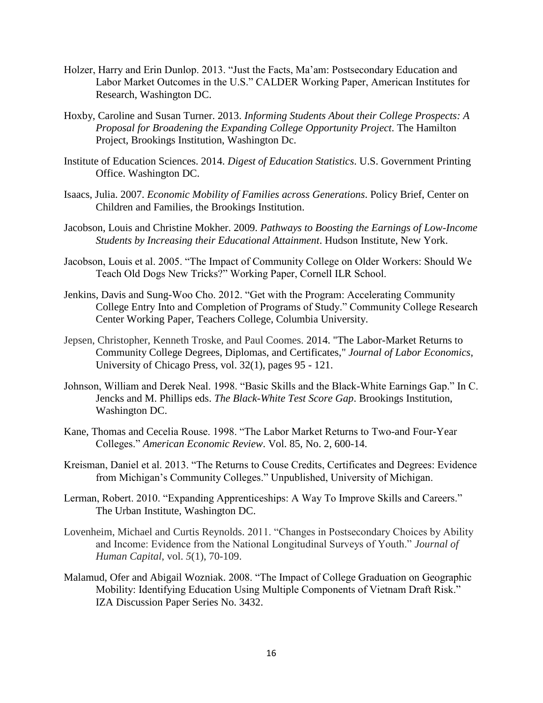- Holzer, Harry and Erin Dunlop. 2013. "Just the Facts, Ma'am: Postsecondary Education and Labor Market Outcomes in the U.S." CALDER Working Paper, American Institutes for Research, Washington DC.
- Hoxby, Caroline and Susan Turner. 2013. *Informing Students About their College Prospects: A Proposal for Broadening the Expanding College Opportunity Project*. The Hamilton Project, Brookings Institution, Washington Dc.
- Institute of Education Sciences. 2014. *Digest of Education Statistics*. U.S. Government Printing Office. Washington DC.
- Isaacs, Julia. 2007. *Economic Mobility of Families across Generations*. Policy Brief, Center on Children and Families, the Brookings Institution.
- Jacobson, Louis and Christine Mokher. 2009. *Pathways to Boosting the Earnings of Low-Income Students by Increasing their Educational Attainment*. Hudson Institute, New York.
- Jacobson, Louis et al. 2005. "The Impact of Community College on Older Workers: Should We Teach Old Dogs New Tricks?" Working Paper, Cornell ILR School.
- Jenkins, Davis and Sung-Woo Cho. 2012. "Get with the Program: Accelerating Community College Entry Into and Completion of Programs of Study." Community College Research Center Working Paper, Teachers College, Columbia University.
- Jepsen, Christopher, Kenneth Troske, and Paul Coomes. 2014. ["The Labor-Market Returns to](http://ideas.repec.org/a/ucp/jlabec/doi10.1086-671809.html)  [Community College Degrees, Diplomas, and Certificates,](http://ideas.repec.org/a/ucp/jlabec/doi10.1086-671809.html)" *[Journal of Labor Economics](http://ideas.repec.org/s/ucp/jlabec.html)*, University of Chicago Press, vol. 32(1), pages 95 - 121.
- Johnson, William and Derek Neal. 1998. "Basic Skills and the Black-White Earnings Gap." In C. Jencks and M. Phillips eds. *The Black-White Test Score Gap*. Brookings Institution, Washington DC.
- Kane, Thomas and Cecelia Rouse. 1998. "The Labor Market Returns to Two-and Four-Year Colleges." *American Economic Review*. Vol. 85, No. 2, 600-14.
- Kreisman, Daniel et al. 2013. "The Returns to Couse Credits, Certificates and Degrees: Evidence from Michigan's Community Colleges." Unpublished, University of Michigan.
- Lerman, Robert. 2010. "Expanding Apprenticeships: A Way To Improve Skills and Careers." The Urban Institute, Washington DC.
- Lovenheim, Michael and Curtis Reynolds. 2011. "Changes in Postsecondary Choices by Ability and Income: Evidence from the National Longitudinal Surveys of Youth." *Journal of Human Capital*, vol. *5*(1), 70-109.
- Malamud, Ofer and Abigail Wozniak. 2008. "The Impact of College Graduation on Geographic Mobility: Identifying Education Using Multiple Components of Vietnam Draft Risk." IZA Discussion Paper Series No. 3432.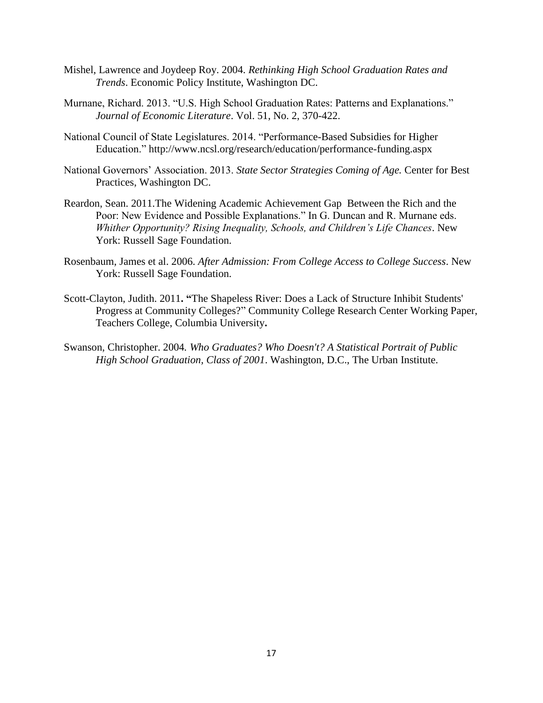- Mishel, Lawrence and Joydeep Roy. 2004. *Rethinking High School Graduation Rates and Trends*. Economic Policy Institute, Washington DC.
- Murnane, Richard. 2013. "U.S. High School Graduation Rates: Patterns and Explanations." *Journal of Economic Literature*. Vol. 51, No. 2, 370-422.
- National Council of State Legislatures. 2014. "Performance-Based Subsidies for Higher Education." http://www.ncsl.org/research/education/performance-funding.aspx
- National Governors' Association. 2013. *State Sector Strategies Coming of Age.* Center for Best Practices, Washington DC.
- Reardon, Sean. 2011.The Widening Academic Achievement Gap Between the Rich and the Poor: New Evidence and Possible Explanations." In G. Duncan and R. Murnane eds. *Whither Opportunity? Rising Inequality, Schools, and Children's Life Chances*. New York: Russell Sage Foundation.
- Rosenbaum, James et al. 2006. *After Admission: From College Access to College Success*. New York: Russell Sage Foundation.
- Scott-Clayton, Judith. 2011**. "**The Shapeless River: Does a Lack of Structure Inhibit Students' Progress at Community Colleges?" Community College Research Center Working Paper, Teachers College, Columbia University**.**
- Swanson, Christopher. 2004*. Who Graduates? Who Doesn't? A Statistical Portrait of Public High School Graduation, Class of 2001*. Washington, D.C., The Urban Institute.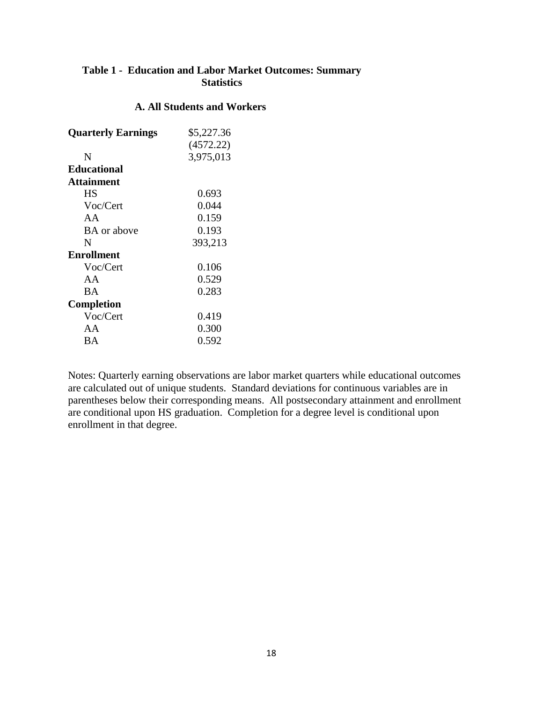#### **Table 1 - Education and Labor Market Outcomes: Summary Statistics**

#### **A. All Students and Workers**

| <b>Quarterly Earnings</b> | \$5,227.36 |
|---------------------------|------------|
|                           | (4572.22)  |
| N                         | 3,975,013  |
| <b>Educational</b>        |            |
| Attainment                |            |
| HS                        | 0.693      |
| Voc/Cert                  | 0.044      |
| AA                        | 0.159      |
| <b>BA</b> or above        | 0.193      |
| N                         | 393,213    |
| <b>Enrollment</b>         |            |
| Voc/Cert                  | 0.106      |
| AA                        | 0.529      |
| <b>BA</b>                 | 0.283      |
| <b>Completion</b>         |            |
| Voc/Cert                  | 0.419      |
| AA                        | 0.300      |
| ВA                        | 0.592      |

Notes: Quarterly earning observations are labor market quarters while educational outcomes are calculated out of unique students. Standard deviations for continuous variables are in parentheses below their corresponding means. All postsecondary attainment and enrollment are conditional upon HS graduation. Completion for a degree level is conditional upon enrollment in that degree.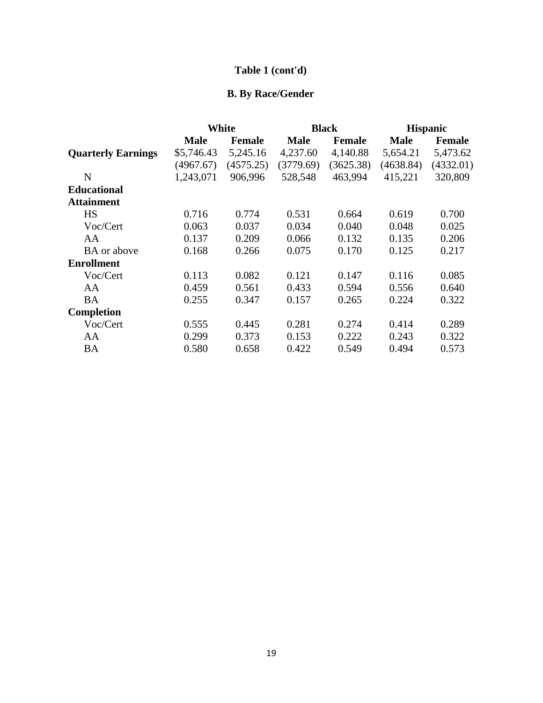# **Table 1 (cont'd)**

### **B. By Race/Gender**

|                           | White       |               |           | <b>Black</b>  | <b>Hispanic</b> |               |  |
|---------------------------|-------------|---------------|-----------|---------------|-----------------|---------------|--|
|                           | <b>Male</b> | <b>Female</b> | Male      | <b>Female</b> | <b>Male</b>     | <b>Female</b> |  |
| <b>Quarterly Earnings</b> | \$5,746.43  | 5,245.16      | 4,237.60  | 4,140.88      | 5,654.21        | 5,473.62      |  |
|                           | (4967.67)   | (4575.25)     | (3779.69) | (3625.38)     | (4638.84)       | (4332.01)     |  |
| N                         | 1,243,071   | 906,996       | 528,548   | 463,994       | 415,221         | 320,809       |  |
| <b>Educational</b>        |             |               |           |               |                 |               |  |
| <b>Attainment</b>         |             |               |           |               |                 |               |  |
| <b>HS</b>                 | 0.716       | 0.774         | 0.531     | 0.664         | 0.619           | 0.700         |  |
| Voc/Cert                  | 0.063       | 0.037         | 0.034     | 0.040         | 0.048           | 0.025         |  |
| AA                        | 0.137       | 0.209         | 0.066     | 0.132         | 0.135           | 0.206         |  |
| <b>BA</b> or above        | 0.168       | 0.266         | 0.075     | 0.170         | 0.125           | 0.217         |  |
| <b>Enrollment</b>         |             |               |           |               |                 |               |  |
| Voc/Cert                  | 0.113       | 0.082         | 0.121     | 0.147         | 0.116           | 0.085         |  |
| AA                        | 0.459       | 0.561         | 0.433     | 0.594         | 0.556           | 0.640         |  |
| BA                        | 0.255       | 0.347         | 0.157     | 0.265         | 0.224           | 0.322         |  |
| <b>Completion</b>         |             |               |           |               |                 |               |  |
| Voc/Cert                  | 0.555       | 0.445         | 0.281     | 0.274         | 0.414           | 0.289         |  |
| AA                        | 0.299       | 0.373         | 0.153     | 0.222         | 0.243           | 0.322         |  |
| <b>BA</b>                 | 0.580       | 0.658         | 0.422     | 0.549         | 0.494           | 0.573         |  |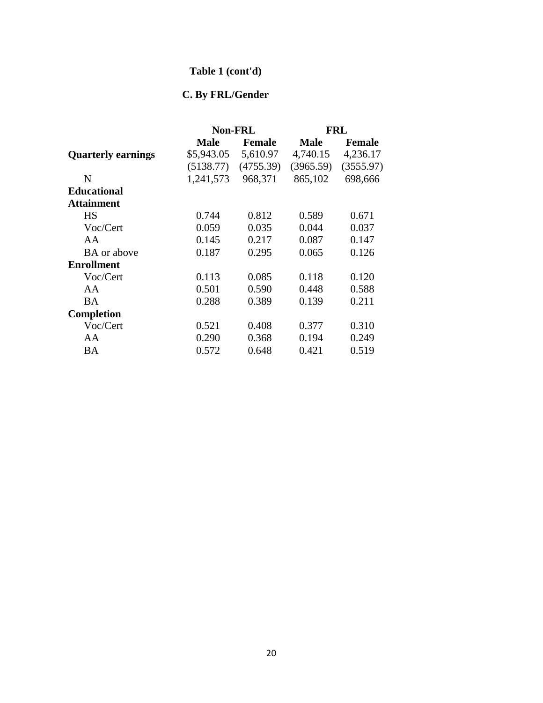# **Table 1 (cont'd)**

# **C. By FRL/Gender**

|                           |             | <b>Non-FRL</b> | <b>FRL</b> |               |  |  |
|---------------------------|-------------|----------------|------------|---------------|--|--|
|                           | <b>Male</b> | <b>Female</b>  | Male       | <b>Female</b> |  |  |
| <b>Quarterly earnings</b> | \$5,943.05  | 5,610.97       | 4,740.15   | 4,236.17      |  |  |
|                           | (5138.77)   | (4755.39)      | (3965.59)  | (3555.97)     |  |  |
| N                         | 1,241,573   | 968,371        | 865,102    | 698,666       |  |  |
| <b>Educational</b>        |             |                |            |               |  |  |
| <b>Attainment</b>         |             |                |            |               |  |  |
| <b>HS</b>                 | 0.744       | 0.812          | 0.589      | 0.671         |  |  |
| Voc/Cert                  | 0.059       | 0.035          | 0.044      | 0.037         |  |  |
| AA                        | 0.145       | 0.217          | 0.087      | 0.147         |  |  |
| <b>BA</b> or above        | 0.187       | 0.295          | 0.065      | 0.126         |  |  |
| <b>Enrollment</b>         |             |                |            |               |  |  |
| Voc/Cert                  | 0.113       | 0.085          | 0.118      | 0.120         |  |  |
| AA                        | 0.501       | 0.590          | 0.448      | 0.588         |  |  |
| BA                        | 0.288       | 0.389          | 0.139      | 0.211         |  |  |
| Completion                |             |                |            |               |  |  |
| Voc/Cert                  | 0.521       | 0.408          | 0.377      | 0.310         |  |  |
| AA                        | 0.290       | 0.368          | 0.194      | 0.249         |  |  |
| <b>BA</b>                 | 0.572       | 0.648          | 0.421      | 0.519         |  |  |
|                           |             |                |            |               |  |  |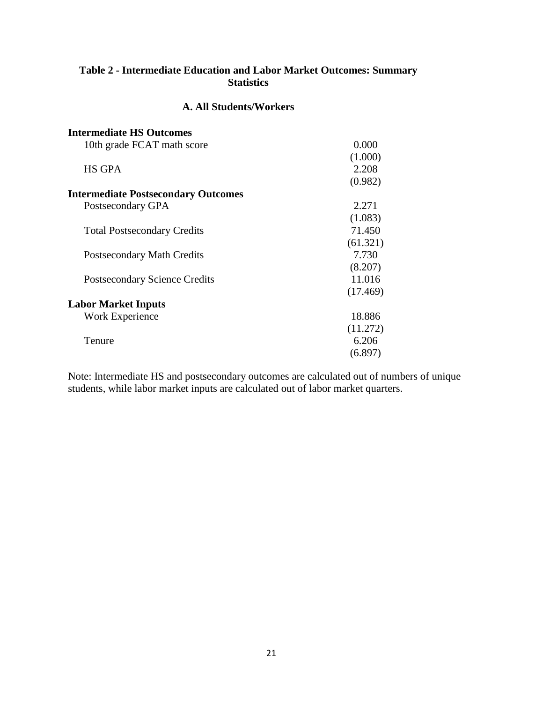### **Table 2 - Intermediate Education and Labor Market Outcomes: Summary Statistics**

#### **A. All Students/Workers**

| <b>Intermediate HS Outcomes</b>            |          |
|--------------------------------------------|----------|
| 10th grade FCAT math score                 | 0.000    |
|                                            | (1.000)  |
| HS GPA                                     | 2.208    |
|                                            | (0.982)  |
| <b>Intermediate Postsecondary Outcomes</b> |          |
| Postsecondary GPA                          | 2.271    |
|                                            | (1.083)  |
| <b>Total Postsecondary Credits</b>         | 71.450   |
|                                            | (61.321) |
| <b>Postsecondary Math Credits</b>          | 7.730    |
|                                            | (8.207)  |
| <b>Postsecondary Science Credits</b>       | 11.016   |
|                                            | (17.469) |
| <b>Labor Market Inputs</b>                 |          |
| Work Experience                            | 18.886   |
|                                            | (11.272) |
| Tenure                                     | 6.206    |
|                                            | (6.897)  |

Note: Intermediate HS and postsecondary outcomes are calculated out of numbers of unique students, while labor market inputs are calculated out of labor market quarters.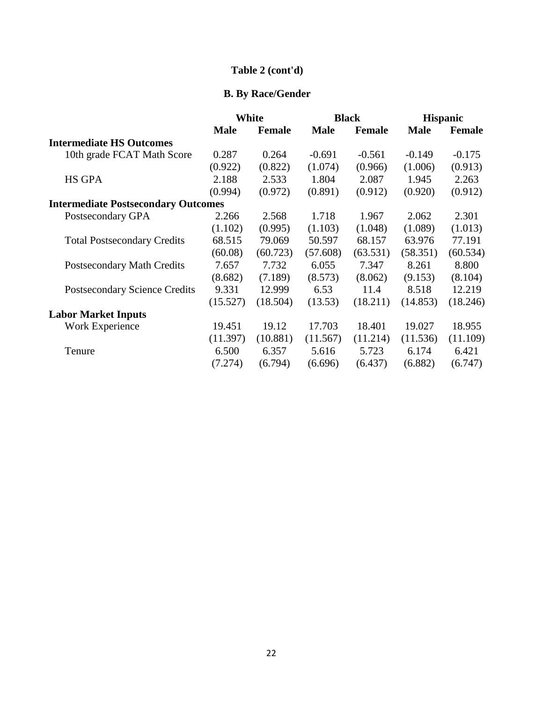# **Table 2 (cont'd)**

### **B. By Race/Gender**

|                                            |             | White         |             | <b>Black</b>  | <b>Hispanic</b> |               |  |
|--------------------------------------------|-------------|---------------|-------------|---------------|-----------------|---------------|--|
|                                            | <b>Male</b> | <b>Female</b> | <b>Male</b> | <b>Female</b> | <b>Male</b>     | <b>Female</b> |  |
| <b>Intermediate HS Outcomes</b>            |             |               |             |               |                 |               |  |
| 10th grade FCAT Math Score                 | 0.287       | 0.264         | $-0.691$    | $-0.561$      | $-0.149$        | $-0.175$      |  |
|                                            | (0.922)     | (0.822)       | (1.074)     | (0.966)       | (1.006)         | (0.913)       |  |
| <b>HS GPA</b>                              | 2.188       | 2.533         | 1.804       | 2.087         | 1.945           | 2.263         |  |
|                                            | (0.994)     | (0.972)       | (0.891)     | (0.912)       | (0.920)         | (0.912)       |  |
| <b>Intermediate Postsecondary Outcomes</b> |             |               |             |               |                 |               |  |
| Postsecondary GPA                          | 2.266       | 2.568         | 1.718       | 1.967         | 2.062           | 2.301         |  |
|                                            | (1.102)     | (0.995)       | (1.103)     | (1.048)       | (1.089)         | (1.013)       |  |
| <b>Total Postsecondary Credits</b>         | 68.515      | 79.069        | 50.597      | 68.157        | 63.976          | 77.191        |  |
|                                            | (60.08)     | (60.723)      | (57.608)    | (63.531)      | (58.351)        | (60.534)      |  |
| <b>Postsecondary Math Credits</b>          | 7.657       | 7.732         | 6.055       | 7.347         | 8.261           | 8.800         |  |
|                                            | (8.682)     | (7.189)       | (8.573)     | (8.062)       | (9.153)         | (8.104)       |  |
| <b>Postsecondary Science Credits</b>       | 9.331       | 12.999        | 6.53        | 11.4          | 8.518           | 12.219        |  |
|                                            | (15.527)    | (18.504)      | (13.53)     | (18.211)      | (14.853)        | (18.246)      |  |
| <b>Labor Market Inputs</b>                 |             |               |             |               |                 |               |  |
| Work Experience                            | 19.451      | 19.12         | 17.703      | 18.401        | 19.027          | 18.955        |  |
|                                            | (11.397)    | (10.881)      | (11.567)    | (11.214)      | (11.536)        | (11.109)      |  |
| Tenure                                     | 6.500       | 6.357         | 5.616       | 5.723         | 6.174           | 6.421         |  |
|                                            | (7.274)     | (6.794)       | (6.696)     | (6.437)       | (6.882)         | (6.747)       |  |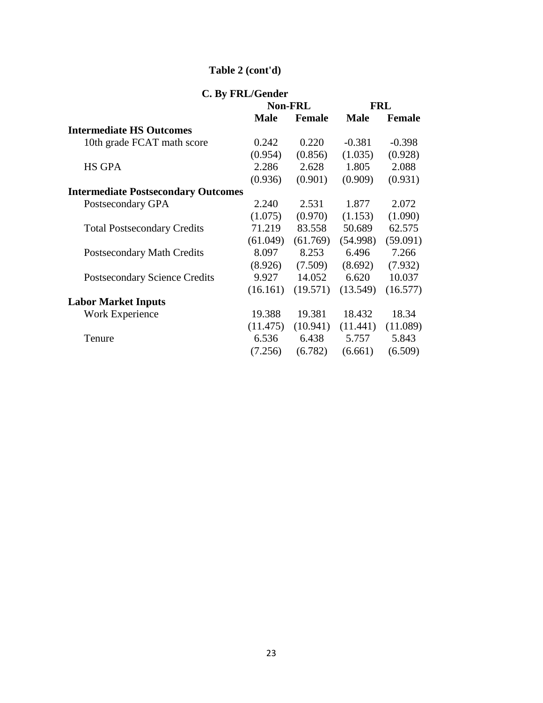# **Table 2 (cont'd)**

### **C. By FRL/Gender**

|                                            |             | <b>Non-FRL</b> | FRL         |               |  |
|--------------------------------------------|-------------|----------------|-------------|---------------|--|
|                                            | <b>Male</b> | <b>Female</b>  | <b>Male</b> | <b>Female</b> |  |
| <b>Intermediate HS Outcomes</b>            |             |                |             |               |  |
| 10th grade FCAT math score                 | 0.242       | 0.220          | $-0.381$    | $-0.398$      |  |
|                                            | (0.954)     | (0.856)        | (1.035)     | (0.928)       |  |
| <b>HS GPA</b>                              | 2.286       | 2.628          | 1.805       | 2.088         |  |
|                                            | (0.936)     | (0.901)        | (0.909)     | (0.931)       |  |
| <b>Intermediate Postsecondary Outcomes</b> |             |                |             |               |  |
| Postsecondary GPA                          | 2.240       | 2.531          | 1.877       | 2.072         |  |
|                                            | (1.075)     | (0.970)        | (1.153)     | (1.090)       |  |
| <b>Total Postsecondary Credits</b>         | 71.219      | 83.558         | 50.689      | 62.575        |  |
|                                            | (61.049)    | (61.769)       | (54.998)    | (59.091)      |  |
| <b>Postsecondary Math Credits</b>          | 8.097       | 8.253          | 6.496       | 7.266         |  |
|                                            | (8.926)     | (7.509)        | (8.692)     | (7.932)       |  |
| <b>Postsecondary Science Credits</b>       | 9.927       | 14.052         | 6.620       | 10.037        |  |
|                                            | (16.161)    | (19.571)       | (13.549)    | (16.577)      |  |
| <b>Labor Market Inputs</b>                 |             |                |             |               |  |
| Work Experience                            | 19.388      | 19.381         | 18.432      | 18.34         |  |
|                                            | (11.475)    | (10.941)       | (11.441)    | (11.089)      |  |
| Tenure                                     | 6.536       | 6.438          | 5.757       | 5.843         |  |
|                                            | (7.256)     | (6.782)        | (6.661)     | (6.509)       |  |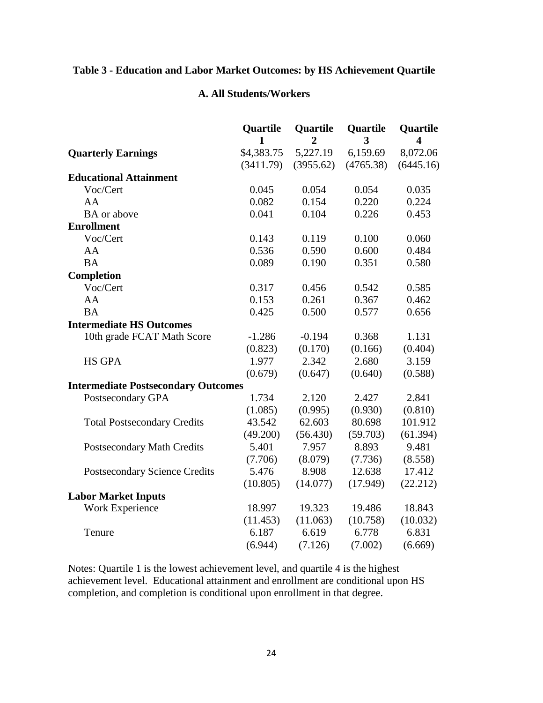### **Table 3 - Education and Labor Market Outcomes: by HS Achievement Quartile**

#### **A. All Students/Workers**

|                                            | <b>Quartile</b><br>1 | Quartile<br>$\overline{2}$ | <b>Quartile</b><br>3 | Quartile<br>$\overline{\mathbf{4}}$ |
|--------------------------------------------|----------------------|----------------------------|----------------------|-------------------------------------|
| <b>Quarterly Earnings</b>                  | \$4,383.75           | 5,227.19                   | 6,159.69             | 8,072.06                            |
|                                            | (3411.79)            | (3955.62)                  | (4765.38)            | (6445.16)                           |
| <b>Educational Attainment</b>              |                      |                            |                      |                                     |
| Voc/Cert                                   | 0.045                | 0.054                      | 0.054                | 0.035                               |
| AA                                         | 0.082                | 0.154                      | 0.220                | 0.224                               |
| <b>BA</b> or above                         | 0.041                | 0.104                      | 0.226                | 0.453                               |
| <b>Enrollment</b>                          |                      |                            |                      |                                     |
| Voc/Cert                                   | 0.143                | 0.119                      | 0.100                | 0.060                               |
| AA                                         | 0.536                | 0.590                      | 0.600                | 0.484                               |
| <b>BA</b>                                  | 0.089                | 0.190                      | 0.351                | 0.580                               |
| <b>Completion</b>                          |                      |                            |                      |                                     |
| Voc/Cert                                   | 0.317                | 0.456                      | 0.542                | 0.585                               |
| AA                                         | 0.153                | 0.261                      | 0.367                | 0.462                               |
| <b>BA</b>                                  | 0.425                | 0.500                      | 0.577                | 0.656                               |
| <b>Intermediate HS Outcomes</b>            |                      |                            |                      |                                     |
| 10th grade FCAT Math Score                 | $-1.286$             | $-0.194$                   | 0.368                | 1.131                               |
|                                            | (0.823)              | (0.170)                    | (0.166)              | (0.404)                             |
| <b>HS GPA</b>                              | 1.977                | 2.342                      | 2.680                | 3.159                               |
|                                            | (0.679)              | (0.647)                    | (0.640)              | (0.588)                             |
| <b>Intermediate Postsecondary Outcomes</b> |                      |                            |                      |                                     |
| Postsecondary GPA                          | 1.734                | 2.120                      | 2.427                | 2.841                               |
|                                            | (1.085)              | (0.995)                    | (0.930)              | (0.810)                             |
| <b>Total Postsecondary Credits</b>         | 43.542               | 62.603                     | 80.698               | 101.912                             |
|                                            | (49.200)             | (56.430)                   | (59.703)             | (61.394)                            |
| Postsecondary Math Credits                 | 5.401                | 7.957                      | 8.893                | 9.481                               |
|                                            | (7.706)              | (8.079)                    | (7.736)              | (8.558)                             |
| <b>Postsecondary Science Credits</b>       | 5.476                | 8.908                      | 12.638               | 17.412                              |
|                                            | (10.805)             | (14.077)                   | (17.949)             | (22.212)                            |
| <b>Labor Market Inputs</b>                 |                      |                            |                      |                                     |
| Work Experience                            | 18.997               | 19.323                     | 19.486               | 18.843                              |
|                                            | (11.453)             | (11.063)                   | (10.758)             | (10.032)                            |
| Tenure                                     | 6.187                | 6.619                      | 6.778                | 6.831                               |
|                                            | (6.944)              | (7.126)                    | (7.002)              | (6.669)                             |

Notes: Quartile 1 is the lowest achievement level, and quartile 4 is the highest achievement level. Educational attainment and enrollment are conditional upon HS completion, and completion is conditional upon enrollment in that degree.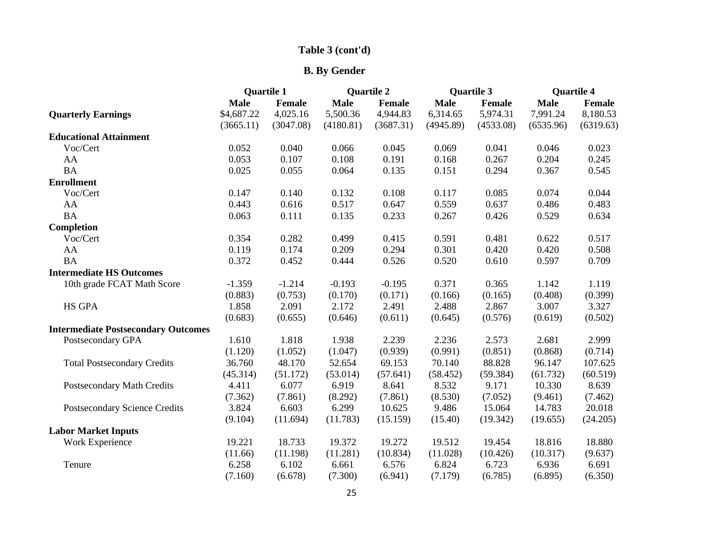# **Table 3 (cont'd)**

# **B. By Gender**

|                                            |             | <b>Quartile 1</b> | <b>Quartile 2</b> |               | <b>Quartile 3</b> |               | <b>Quartile 4</b> |           |
|--------------------------------------------|-------------|-------------------|-------------------|---------------|-------------------|---------------|-------------------|-----------|
|                                            | <b>Male</b> | <b>Female</b>     | <b>Male</b>       | <b>Female</b> | <b>Male</b>       | <b>Female</b> | <b>Male</b>       | Female    |
| <b>Quarterly Earnings</b>                  | \$4,687.22  | 4,025.16          | 5,500.36          | 4,944.83      | 6,314.65          | 5,974.31      | 7,991.24          | 8,180.53  |
|                                            | (3665.11)   | (3047.08)         | (4180.81)         | (3687.31)     | (4945.89)         | (4533.08)     | (6535.96)         | (6319.63) |
| <b>Educational Attainment</b>              |             |                   |                   |               |                   |               |                   |           |
| Voc/Cert                                   | 0.052       | 0.040             | 0.066             | 0.045         | 0.069             | 0.041         | 0.046             | 0.023     |
| AA                                         | 0.053       | 0.107             | 0.108             | 0.191         | 0.168             | 0.267         | 0.204             | 0.245     |
| <b>BA</b>                                  | 0.025       | 0.055             | 0.064             | 0.135         | 0.151             | 0.294         | 0.367             | 0.545     |
| <b>Enrollment</b>                          |             |                   |                   |               |                   |               |                   |           |
| Voc/Cert                                   | 0.147       | 0.140             | 0.132             | 0.108         | 0.117             | 0.085         | 0.074             | 0.044     |
| AA                                         | 0.443       | 0.616             | 0.517             | 0.647         | 0.559             | 0.637         | 0.486             | 0.483     |
| <b>BA</b>                                  | 0.063       | 0.111             | 0.135             | 0.233         | 0.267             | 0.426         | 0.529             | 0.634     |
| Completion                                 |             |                   |                   |               |                   |               |                   |           |
| Voc/Cert                                   | 0.354       | 0.282             | 0.499             | 0.415         | 0.591             | 0.481         | 0.622             | 0.517     |
| AA                                         | 0.119       | 0.174             | 0.209             | 0.294         | 0.301             | 0.420         | 0.420             | 0.508     |
| <b>BA</b>                                  | 0.372       | 0.452             | 0.444             | 0.526         | 0.520             | 0.610         | 0.597             | 0.709     |
| <b>Intermediate HS Outcomes</b>            |             |                   |                   |               |                   |               |                   |           |
| 10th grade FCAT Math Score                 | $-1.359$    | $-1.214$          | $-0.193$          | $-0.195$      | 0.371             | 0.365         | 1.142             | 1.119     |
|                                            | (0.883)     | (0.753)           | (0.170)           | (0.171)       | (0.166)           | (0.165)       | (0.408)           | (0.399)   |
| <b>HS GPA</b>                              | 1.858       | 2.091             | 2.172             | 2.491         | 2.488             | 2.867         | 3.007             | 3.327     |
|                                            | (0.683)     | (0.655)           | (0.646)           | (0.611)       | (0.645)           | (0.576)       | (0.619)           | (0.502)   |
| <b>Intermediate Postsecondary Outcomes</b> |             |                   |                   |               |                   |               |                   |           |
| Postsecondary GPA                          | 1.610       | 1.818             | 1.938             | 2.239         | 2.236             | 2.573         | 2.681             | 2.999     |
|                                            | (1.120)     | (1.052)           | (1.047)           | (0.939)       | (0.991)           | (0.851)       | (0.868)           | (0.714)   |
| <b>Total Postsecondary Credits</b>         | 36.760      | 48.170            | 52.654            | 69.153        | 70.140            | 88.828        | 96.147            | 107.625   |
|                                            | (45.314)    | (51.172)          | (53.014)          | (57.641)      | (58.452)          | (59.384)      | (61.732)          | (60.519)  |
| <b>Postsecondary Math Credits</b>          | 4.411       | 6.077             | 6.919             | 8.641         | 8.532             | 9.171         | 10.330            | 8.639     |
|                                            | (7.362)     | (7.861)           | (8.292)           | (7.861)       | (8.530)           | (7.052)       | (9.461)           | (7.462)   |
| <b>Postsecondary Science Credits</b>       | 3.824       | 6.603             | 6.299             | 10.625        | 9.486             | 15.064        | 14.783            | 20.018    |
|                                            | (9.104)     | (11.694)          | (11.783)          | (15.159)      | (15.40)           | (19.342)      | (19.655)          | (24.205)  |
| <b>Labor Market Inputs</b>                 |             |                   |                   |               |                   |               |                   |           |
| Work Experience                            | 19.221      | 18.733            | 19.372            | 19.272        | 19.512            | 19.454        | 18.816            | 18.880    |
|                                            | (11.66)     | (11.198)          | (11.281)          | (10.834)      | (11.028)          | (10.426)      | (10.317)          | (9.637)   |
| Tenure                                     | 6.258       | 6.102             | 6.661             | 6.576         | 6.824             | 6.723         | 6.936             | 6.691     |
|                                            | (7.160)     | (6.678)           | (7.300)           | (6.941)       | (7.179)           | (6.785)       | (6.895)           | (6.350)   |
|                                            |             |                   |                   |               |                   |               |                   |           |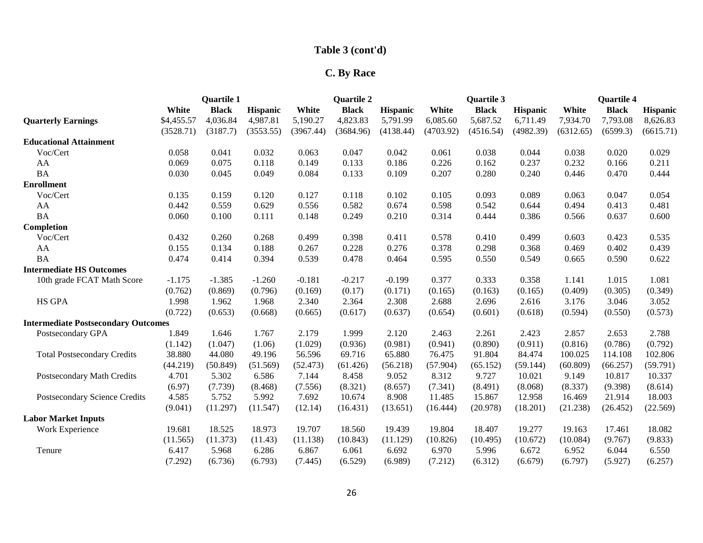# **Table 3 (cont'd)**

# **C. By Race**

|                                            |            | <b>Quartile 1</b> |                 |           | <b>Quartile 2</b> |                 | Quartile 3 |              |                 | <b>Quartile 4</b> |              |                 |
|--------------------------------------------|------------|-------------------|-----------------|-----------|-------------------|-----------------|------------|--------------|-----------------|-------------------|--------------|-----------------|
|                                            | White      | <b>Black</b>      | <b>Hispanic</b> | White     | <b>Black</b>      | <b>Hispanic</b> | White      | <b>Black</b> | <b>Hispanic</b> | White             | <b>Black</b> | <b>Hispanic</b> |
| <b>Quarterly Earnings</b>                  | \$4,455.57 | 4,036.84          | 4,987.81        | 5,190.27  | 4,823.83          | 5,791.99        | 6,085.60   | 5,687.52     | 6,711.49        | 7,934.70          | 7,793.08     | 8,626.83        |
|                                            | (3528.71)  | (3187.7)          | (3553.55)       | (3967.44) | (3684.96)         | (4138.44)       | (4703.92)  | (4516.54)    | (4982.39)       | (6312.65)         | (6599.3)     | (6615.71)       |
| <b>Educational Attainment</b>              |            |                   |                 |           |                   |                 |            |              |                 |                   |              |                 |
| Voc/Cert                                   | 0.058      | 0.041             | 0.032           | 0.063     | 0.047             | 0.042           | 0.061      | 0.038        | 0.044           | 0.038             | 0.020        | 0.029           |
| AA                                         | 0.069      | 0.075             | 0.118           | 0.149     | 0.133             | 0.186           | 0.226      | 0.162        | 0.237           | 0.232             | 0.166        | 0.211           |
| <b>BA</b>                                  | 0.030      | 0.045             | 0.049           | 0.084     | 0.133             | 0.109           | 0.207      | 0.280        | 0.240           | 0.446             | 0.470        | 0.444           |
| <b>Enrollment</b>                          |            |                   |                 |           |                   |                 |            |              |                 |                   |              |                 |
| Voc/Cert                                   | 0.135      | 0.159             | 0.120           | 0.127     | 0.118             | 0.102           | 0.105      | 0.093        | 0.089           | 0.063             | 0.047        | 0.054           |
| AA                                         | 0.442      | 0.559             | 0.629           | 0.556     | 0.582             | 0.674           | 0.598      | 0.542        | 0.644           | 0.494             | 0.413        | 0.481           |
| <b>BA</b>                                  | 0.060      | 0.100             | 0.111           | 0.148     | 0.249             | 0.210           | 0.314      | 0.444        | 0.386           | 0.566             | 0.637        | 0.600           |
| Completion                                 |            |                   |                 |           |                   |                 |            |              |                 |                   |              |                 |
| Voc/Cert                                   | 0.432      | 0.260             | 0.268           | 0.499     | 0.398             | 0.411           | 0.578      | 0.410        | 0.499           | 0.603             | 0.423        | 0.535           |
| AA                                         | 0.155      | 0.134             | 0.188           | 0.267     | 0.228             | 0.276           | 0.378      | 0.298        | 0.368           | 0.469             | 0.402        | 0.439           |
| <b>BA</b>                                  | 0.474      | 0.414             | 0.394           | 0.539     | 0.478             | 0.464           | 0.595      | 0.550        | 0.549           | 0.665             | 0.590        | 0.622           |
| <b>Intermediate HS Outcomes</b>            |            |                   |                 |           |                   |                 |            |              |                 |                   |              |                 |
| 10th grade FCAT Math Score                 | $-1.175$   | $-1.385$          | $-1.260$        | $-0.181$  | $-0.217$          | $-0.199$        | 0.377      | 0.333        | 0.358           | 1.141             | 1.015        | 1.081           |
|                                            | (0.762)    | (0.869)           | (0.796)         | (0.169)   | (0.17)            | (0.171)         | (0.165)    | (0.163)      | (0.165)         | (0.409)           | (0.305)      | (0.349)         |
| HS GPA                                     | 1.998      | 1.962             | 1.968           | 2.340     | 2.364             | 2.308           | 2.688      | 2.696        | 2.616           | 3.176             | 3.046        | 3.052           |
|                                            | (0.722)    | (0.653)           | (0.668)         | (0.665)   | (0.617)           | (0.637)         | (0.654)    | (0.601)      | (0.618)         | (0.594)           | (0.550)      | (0.573)         |
| <b>Intermediate Postsecondary Outcomes</b> |            |                   |                 |           |                   |                 |            |              |                 |                   |              |                 |
| Postsecondary GPA                          | 1.849      | 1.646             | 1.767           | 2.179     | 1.999             | 2.120           | 2.463      | 2.261        | 2.423           | 2.857             | 2.653        | 2.788           |
|                                            | (1.142)    | (1.047)           | (1.06)          | (1.029)   | (0.936)           | (0.981)         | (0.941)    | (0.890)      | (0.911)         | (0.816)           | (0.786)      | (0.792)         |
| <b>Total Postsecondary Credits</b>         | 38.880     | 44.080            | 49.196          | 56.596    | 69.716            | 65.880          | 76.475     | 91.804       | 84.474          | 100.025           | 114.108      | 102.806         |
|                                            | (44.219)   | (50.849)          | (51.569)        | (52.473)  | (61.426)          | (56.218)        | (57.904)   | (65.152)     | (59.144)        | (60.809)          | (66.257)     | (59.791)        |
| Postsecondary Math Credits                 | 4.701      | 5.302             | 6.586           | 7.144     | 8.458             | 9.052           | 8.312      | 9.727        | 10.021          | 9.149             | 10.817       | 10.337          |
|                                            | (6.97)     | (7.739)           | (8.468)         | (7.556)   | (8.321)           | (8.657)         | (7.341)    | (8.491)      | (8.068)         | (8.337)           | (9.398)      | (8.614)         |
| Postsecondary Science Credits              | 4.585      | 5.752             | 5.992           | 7.692     | 10.674            | 8.908           | 11.485     | 15.867       | 12.958          | 16.469            | 21.914       | 18.003          |
|                                            | (9.041)    | (11.297)          | (11.547)        | (12.14)   | (16.431)          | (13.651)        | (16.444)   | (20.978)     | (18.201)        | (21.238)          | (26.452)     | (22.569)        |
| <b>Labor Market Inputs</b>                 |            |                   |                 |           |                   |                 |            |              |                 |                   |              |                 |
| Work Experience                            | 19.681     | 18.525            | 18.973          | 19.707    | 18.560            | 19.439          | 19.804     | 18.407       | 19.277          | 19.163            | 17.461       | 18.082          |
|                                            | (11.565)   | (11.373)          | (11.43)         | (11.138)  | (10.843)          | (11.129)        | (10.826)   | (10.495)     | (10.672)        | (10.084)          | (9.767)      | (9.833)         |
| Tenure                                     | 6.417      | 5.968             | 6.286           | 6.867     | 6.061             | 6.692           | 6.970      | 5.996        | 6.672           | 6.952             | 6.044        | 6.550           |
|                                            | (7.292)    | (6.736)           | (6.793)         | (7.445)   | (6.529)           | (6.989)         | (7.212)    | (6.312)      | (6.679)         | (6.797)           | (5.927)      | (6.257)         |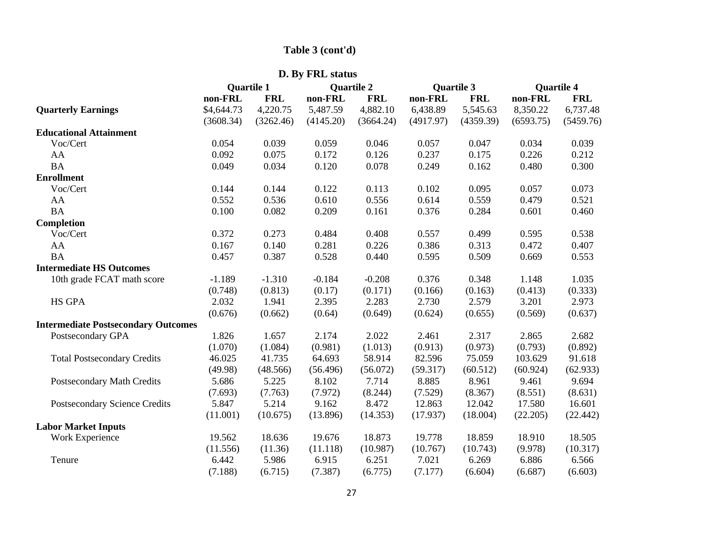### **Table 3 (cont'd)**

|                                            |            |                   | D. By FRL status |                   |           |                   |           |                   |
|--------------------------------------------|------------|-------------------|------------------|-------------------|-----------|-------------------|-----------|-------------------|
|                                            |            | <b>Quartile 1</b> |                  | <b>Quartile 2</b> |           | <b>Quartile 3</b> |           | <b>Quartile 4</b> |
|                                            | non-FRL    | <b>FRL</b>        | non-FRL          | <b>FRL</b>        | non-FRL   | <b>FRL</b>        | non-FRL   | <b>FRL</b>        |
| <b>Quarterly Earnings</b>                  | \$4,644.73 | 4,220.75          | 5,487.59         | 4,882.10          | 6,438.89  | 5,545.63          | 8,350.22  | 6,737.48          |
|                                            | (3608.34)  | (3262.46)         | (4145.20)        | (3664.24)         | (4917.97) | (4359.39)         | (6593.75) | (5459.76)         |
| <b>Educational Attainment</b>              |            |                   |                  |                   |           |                   |           |                   |
| Voc/Cert                                   | 0.054      | 0.039             | 0.059            | 0.046             | 0.057     | 0.047             | 0.034     | 0.039             |
| AA                                         | 0.092      | 0.075             | 0.172            | 0.126             | 0.237     | 0.175             | 0.226     | 0.212             |
| <b>BA</b>                                  | 0.049      | 0.034             | 0.120            | 0.078             | 0.249     | 0.162             | 0.480     | 0.300             |
| <b>Enrollment</b>                          |            |                   |                  |                   |           |                   |           |                   |
| Voc/Cert                                   | 0.144      | 0.144             | 0.122            | 0.113             | 0.102     | 0.095             | 0.057     | 0.073             |
| AA                                         | 0.552      | 0.536             | 0.610            | 0.556             | 0.614     | 0.559             | 0.479     | 0.521             |
| <b>BA</b>                                  | 0.100      | 0.082             | 0.209            | 0.161             | 0.376     | 0.284             | 0.601     | 0.460             |
| Completion                                 |            |                   |                  |                   |           |                   |           |                   |
| Voc/Cert                                   | 0.372      | 0.273             | 0.484            | 0.408             | 0.557     | 0.499             | 0.595     | 0.538             |
| AA                                         | 0.167      | 0.140             | 0.281            | 0.226             | 0.386     | 0.313             | 0.472     | 0.407             |
| <b>BA</b>                                  | 0.457      | 0.387             | 0.528            | 0.440             | 0.595     | 0.509             | 0.669     | 0.553             |
| <b>Intermediate HS Outcomes</b>            |            |                   |                  |                   |           |                   |           |                   |
| 10th grade FCAT math score                 | $-1.189$   | $-1.310$          | $-0.184$         | $-0.208$          | 0.376     | 0.348             | 1.148     | 1.035             |
|                                            | (0.748)    | (0.813)           | (0.17)           | (0.171)           | (0.166)   | (0.163)           | (0.413)   | (0.333)           |
| <b>HS GPA</b>                              | 2.032      | 1.941             | 2.395            | 2.283             | 2.730     | 2.579             | 3.201     | 2.973             |
|                                            | (0.676)    | (0.662)           | (0.64)           | (0.649)           | (0.624)   | (0.655)           | (0.569)   | (0.637)           |
| <b>Intermediate Postsecondary Outcomes</b> |            |                   |                  |                   |           |                   |           |                   |
| Postsecondary GPA                          | 1.826      | 1.657             | 2.174            | 2.022             | 2.461     | 2.317             | 2.865     | 2.682             |
|                                            | (1.070)    | (1.084)           | (0.981)          | (1.013)           | (0.913)   | (0.973)           | (0.793)   | (0.892)           |
| <b>Total Postsecondary Credits</b>         | 46.025     | 41.735            | 64.693           | 58.914            | 82.596    | 75.059            | 103.629   | 91.618            |
|                                            | (49.98)    | (48.566)          | (56.496)         | (56.072)          | (59.317)  | (60.512)          | (60.924)  | (62.933)          |
| <b>Postsecondary Math Credits</b>          | 5.686      | 5.225             | 8.102            | 7.714             | 8.885     | 8.961             | 9.461     | 9.694             |
|                                            | (7.693)    | (7.763)           | (7.972)          | (8.244)           | (7.529)   | (8.367)           | (8.551)   | (8.631)           |
| <b>Postsecondary Science Credits</b>       | 5.847      | 5.214             | 9.162            | 8.472             | 12.863    | 12.042            | 17.580    | 16.601            |
|                                            | (11.001)   | (10.675)          | (13.896)         | (14.353)          | (17.937)  | (18.004)          | (22.205)  | (22.442)          |
| <b>Labor Market Inputs</b>                 |            |                   |                  |                   |           |                   |           |                   |
| Work Experience                            | 19.562     | 18.636            | 19.676           | 18.873            | 19.778    | 18.859            | 18.910    | 18.505            |
|                                            | (11.556)   | (11.36)           | (11.118)         | (10.987)          | (10.767)  | (10.743)          | (9.978)   | (10.317)          |
| Tenure                                     | 6.442      | 5.986             | 6.915            | 6.251             | 7.021     | 6.269             | 6.886     | 6.566             |
|                                            | (7.188)    | (6.715)           | (7.387)          | (6.775)           | (7.177)   | (6.604)           | (6.687)   | (6.603)           |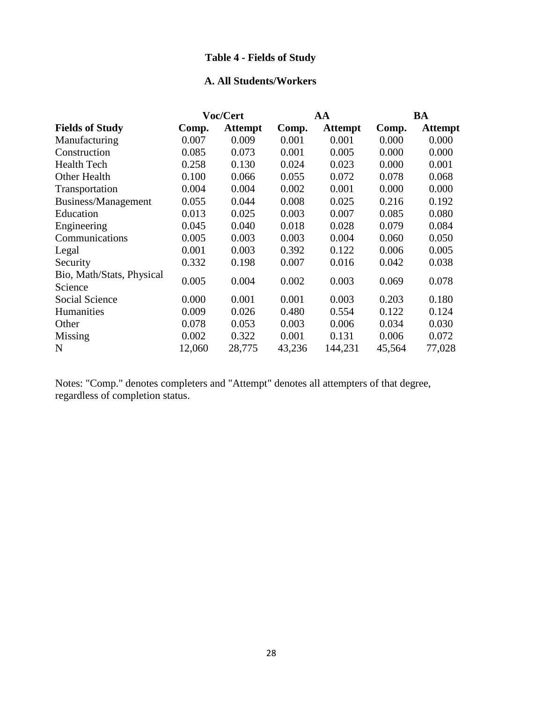### **Table 4 - Fields of Study**

### **A. All Students/Workers**

|                                      | Voc/Cert |                |        | AA             | BA     |                |  |
|--------------------------------------|----------|----------------|--------|----------------|--------|----------------|--|
| <b>Fields of Study</b>               | Comp.    | <b>Attempt</b> | Comp.  | <b>Attempt</b> | Comp.  | <b>Attempt</b> |  |
| Manufacturing                        | 0.007    | 0.009          | 0.001  | 0.001          | 0.000  | 0.000          |  |
| Construction                         | 0.085    | 0.073          | 0.001  | 0.005          | 0.000  | 0.000          |  |
| <b>Health Tech</b>                   | 0.258    | 0.130          | 0.024  | 0.023          | 0.000  | 0.001          |  |
| Other Health                         | 0.100    | 0.066          | 0.055  | 0.072          | 0.078  | 0.068          |  |
| Transportation                       | 0.004    | 0.004          | 0.002  | 0.001          | 0.000  | 0.000          |  |
| Business/Management                  | 0.055    | 0.044          | 0.008  | 0.025          | 0.216  | 0.192          |  |
| Education                            | 0.013    | 0.025          | 0.003  | 0.007          | 0.085  | 0.080          |  |
| Engineering                          | 0.045    | 0.040          | 0.018  | 0.028          | 0.079  | 0.084          |  |
| Communications                       | 0.005    | 0.003          | 0.003  | 0.004          | 0.060  | 0.050          |  |
| Legal                                | 0.001    | 0.003          | 0.392  | 0.122          | 0.006  | 0.005          |  |
| Security                             | 0.332    | 0.198          | 0.007  | 0.016          | 0.042  | 0.038          |  |
| Bio, Math/Stats, Physical<br>Science | 0.005    | 0.004          | 0.002  | 0.003          | 0.069  | 0.078          |  |
| Social Science                       | 0.000    | 0.001          | 0.001  | 0.003          | 0.203  | 0.180          |  |
| <b>Humanities</b>                    | 0.009    | 0.026          | 0.480  | 0.554          | 0.122  | 0.124          |  |
| Other                                | 0.078    | 0.053          | 0.003  | 0.006          | 0.034  | 0.030          |  |
| Missing                              | 0.002    | 0.322          | 0.001  | 0.131          | 0.006  | 0.072          |  |
| N                                    | 12,060   | 28,775         | 43,236 | 144,231        | 45,564 | 77,028         |  |

Notes: "Comp." denotes completers and "Attempt" denotes all attempters of that degree, regardless of completion status.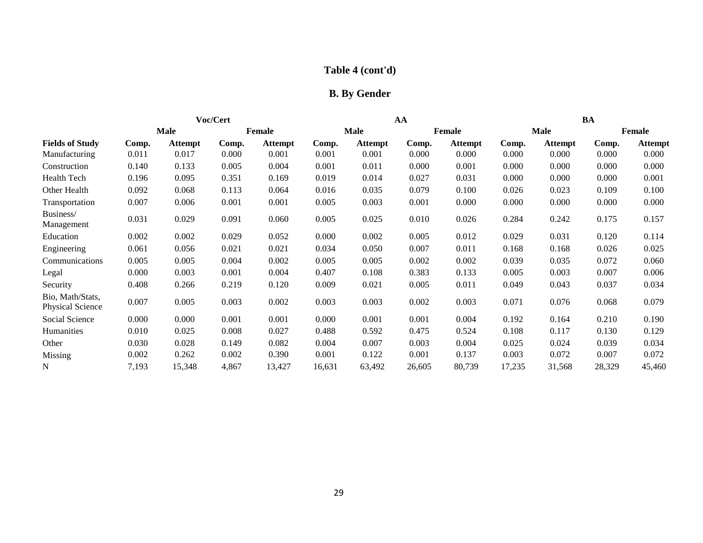# **Table 4 (cont'd)**

# **B. By Gender**

|                                      |       |                | Voc/Cert |                |        |                | AA     |                | BA     |                |        |                |
|--------------------------------------|-------|----------------|----------|----------------|--------|----------------|--------|----------------|--------|----------------|--------|----------------|
|                                      |       | Male           |          | Female         |        | Male           |        | Female         | Male   |                |        | Female         |
| <b>Fields of Study</b>               | Comp. | <b>Attempt</b> | Comp.    | <b>Attempt</b> | Comp.  | <b>Attempt</b> | Comp.  | <b>Attempt</b> | Comp.  | <b>Attempt</b> | Comp.  | <b>Attempt</b> |
| Manufacturing                        | 0.011 | 0.017          | 0.000    | 0.001          | 0.001  | 0.001          | 0.000  | 0.000          | 0.000  | 0.000          | 0.000  | 0.000          |
| Construction                         | 0.140 | 0.133          | 0.005    | 0.004          | 0.001  | 0.011          | 0.000  | 0.001          | 0.000  | 0.000          | 0.000  | 0.000          |
| Health Tech                          | 0.196 | 0.095          | 0.351    | 0.169          | 0.019  | 0.014          | 0.027  | 0.031          | 0.000  | 0.000          | 0.000  | 0.001          |
| Other Health                         | 0.092 | 0.068          | 0.113    | 0.064          | 0.016  | 0.035          | 0.079  | 0.100          | 0.026  | 0.023          | 0.109  | 0.100          |
| Transportation                       | 0.007 | 0.006          | 0.001    | 0.001          | 0.005  | 0.003          | 0.001  | 0.000          | 0.000  | 0.000          | 0.000  | 0.000          |
| Business/<br>Management              | 0.031 | 0.029          | 0.091    | 0.060          | 0.005  | 0.025          | 0.010  | 0.026          | 0.284  | 0.242          | 0.175  | 0.157          |
| Education                            | 0.002 | 0.002          | 0.029    | 0.052          | 0.000  | 0.002          | 0.005  | 0.012          | 0.029  | 0.031          | 0.120  | 0.114          |
| Engineering                          | 0.061 | 0.056          | 0.021    | 0.021          | 0.034  | 0.050          | 0.007  | 0.011          | 0.168  | 0.168          | 0.026  | 0.025          |
| Communications                       | 0.005 | 0.005          | 0.004    | 0.002          | 0.005  | 0.005          | 0.002  | 0.002          | 0.039  | 0.035          | 0.072  | 0.060          |
| Legal                                | 0.000 | 0.003          | 0.001    | 0.004          | 0.407  | 0.108          | 0.383  | 0.133          | 0.005  | 0.003          | 0.007  | 0.006          |
| Security                             | 0.408 | 0.266          | 0.219    | 0.120          | 0.009  | 0.021          | 0.005  | 0.011          | 0.049  | 0.043          | 0.037  | 0.034          |
| Bio, Math/Stats,<br>Physical Science | 0.007 | 0.005          | 0.003    | 0.002          | 0.003  | 0.003          | 0.002  | 0.003          | 0.071  | 0.076          | 0.068  | 0.079          |
| Social Science                       | 0.000 | 0.000          | 0.001    | 0.001          | 0.000  | 0.001          | 0.001  | 0.004          | 0.192  | 0.164          | 0.210  | 0.190          |
| Humanities                           | 0.010 | 0.025          | 0.008    | 0.027          | 0.488  | 0.592          | 0.475  | 0.524          | 0.108  | 0.117          | 0.130  | 0.129          |
| Other                                | 0.030 | 0.028          | 0.149    | 0.082          | 0.004  | 0.007          | 0.003  | 0.004          | 0.025  | 0.024          | 0.039  | 0.034          |
| Missing                              | 0.002 | 0.262          | 0.002    | 0.390          | 0.001  | 0.122          | 0.001  | 0.137          | 0.003  | 0.072          | 0.007  | 0.072          |
| N                                    | 7,193 | 15,348         | 4,867    | 13,427         | 16,631 | 63,492         | 26,605 | 80,739         | 17,235 | 31,568         | 28,329 | 45,460         |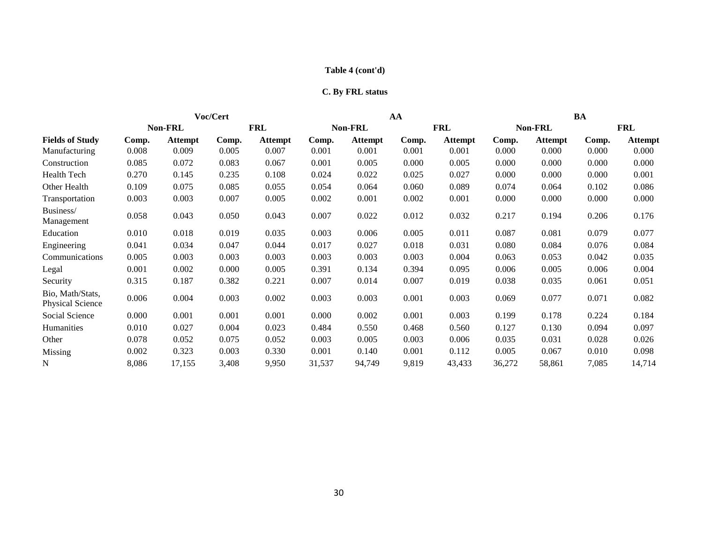#### **Table 4 (cont'd)**

#### **C. By FRL status**

|                                             | Voc/Cert |                |            |                | AA      |                |            |                | <b>BA</b> |                |            |                |
|---------------------------------------------|----------|----------------|------------|----------------|---------|----------------|------------|----------------|-----------|----------------|------------|----------------|
| <b>Non-FRL</b>                              |          |                | <b>FRL</b> |                | Non-FRL |                | <b>FRL</b> |                | Non-FRL   |                | <b>FRL</b> |                |
| <b>Fields of Study</b>                      | Comp.    | <b>Attempt</b> | Comp.      | <b>Attempt</b> | Comp.   | <b>Attempt</b> | Comp.      | <b>Attempt</b> | Comp.     | <b>Attempt</b> | Comp.      | <b>Attempt</b> |
| Manufacturing                               | 0.008    | 0.009          | 0.005      | 0.007          | 0.001   | 0.001          | 0.001      | 0.001          | 0.000     | 0.000          | 0.000      | 0.000          |
| Construction                                | 0.085    | 0.072          | 0.083      | 0.067          | 0.001   | 0.005          | 0.000      | 0.005          | 0.000     | 0.000          | 0.000      | 0.000          |
| <b>Health Tech</b>                          | 0.270    | 0.145          | 0.235      | 0.108          | 0.024   | 0.022          | 0.025      | 0.027          | 0.000     | 0.000          | 0.000      | 0.001          |
| Other Health                                | 0.109    | 0.075          | 0.085      | 0.055          | 0.054   | 0.064          | 0.060      | 0.089          | 0.074     | 0.064          | 0.102      | 0.086          |
| Transportation                              | 0.003    | 0.003          | 0.007      | 0.005          | 0.002   | 0.001          | 0.002      | 0.001          | 0.000     | 0.000          | 0.000      | 0.000          |
| Business/<br>Management                     | 0.058    | 0.043          | 0.050      | 0.043          | 0.007   | 0.022          | 0.012      | 0.032          | 0.217     | 0.194          | 0.206      | 0.176          |
| Education                                   | 0.010    | 0.018          | 0.019      | 0.035          | 0.003   | 0.006          | 0.005      | 0.011          | 0.087     | 0.081          | 0.079      | 0.077          |
| Engineering                                 | 0.041    | 0.034          | 0.047      | 0.044          | 0.017   | 0.027          | 0.018      | 0.031          | 0.080     | 0.084          | 0.076      | 0.084          |
| Communications                              | 0.005    | 0.003          | 0.003      | 0.003          | 0.003   | 0.003          | 0.003      | 0.004          | 0.063     | 0.053          | 0.042      | 0.035          |
| Legal                                       | 0.001    | 0.002          | 0.000      | 0.005          | 0.391   | 0.134          | 0.394      | 0.095          | 0.006     | 0.005          | 0.006      | 0.004          |
| Security                                    | 0.315    | 0.187          | 0.382      | 0.221          | 0.007   | 0.014          | 0.007      | 0.019          | 0.038     | 0.035          | 0.061      | 0.051          |
| Bio, Math/Stats,<br><b>Physical Science</b> | 0.006    | 0.004          | 0.003      | 0.002          | 0.003   | 0.003          | 0.001      | 0.003          | 0.069     | 0.077          | 0.071      | 0.082          |
| Social Science                              | 0.000    | 0.001          | 0.001      | 0.001          | 0.000   | 0.002          | 0.001      | 0.003          | 0.199     | 0.178          | 0.224      | 0.184          |
| Humanities                                  | 0.010    | 0.027          | 0.004      | 0.023          | 0.484   | 0.550          | 0.468      | 0.560          | 0.127     | 0.130          | 0.094      | 0.097          |
| Other                                       | 0.078    | 0.052          | 0.075      | 0.052          | 0.003   | 0.005          | 0.003      | 0.006          | 0.035     | 0.031          | 0.028      | 0.026          |
| Missing                                     | 0.002    | 0.323          | 0.003      | 0.330          | 0.001   | 0.140          | 0.001      | 0.112          | 0.005     | 0.067          | 0.010      | 0.098          |
| N                                           | 8,086    | 17,155         | 3,408      | 9,950          | 31,537  | 94,749         | 9,819      | 43,433         | 36,272    | 58,861         | 7,085      | 14,714         |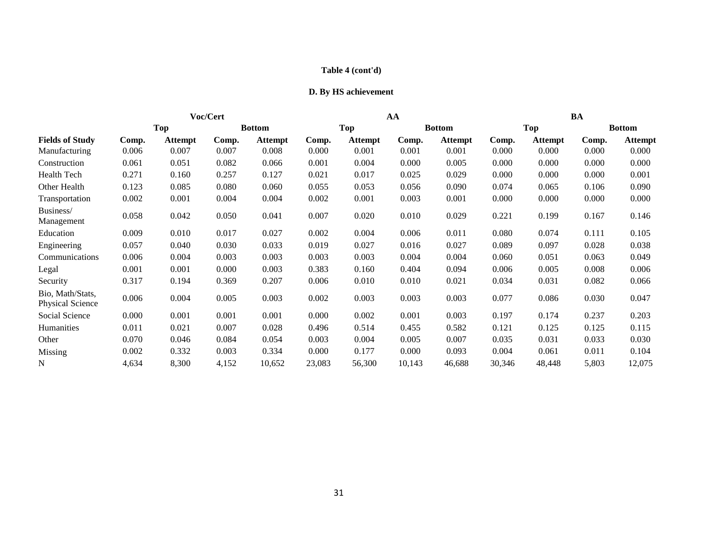#### **Table 4 (cont'd)**

#### **D. By HS achievement**

|                                      | Voc/Cert                    |                |       |                | AA     |                |        |                | BA     |                |       |                |
|--------------------------------------|-----------------------------|----------------|-------|----------------|--------|----------------|--------|----------------|--------|----------------|-------|----------------|
|                                      | <b>Top</b><br><b>Bottom</b> |                |       |                | Top    |                |        | <b>Bottom</b>  |        | <b>Top</b>     |       | <b>Bottom</b>  |
| <b>Fields of Study</b>               | Comp.                       | <b>Attempt</b> | Comp. | <b>Attempt</b> | Comp.  | <b>Attempt</b> | Comp.  | <b>Attempt</b> | Comp.  | <b>Attempt</b> | Comp. | <b>Attempt</b> |
| Manufacturing                        | 0.006                       | 0.007          | 0.007 | 0.008          | 0.000  | 0.001          | 0.001  | 0.001          | 0.000  | 0.000          | 0.000 | 0.000          |
| Construction                         | 0.061                       | 0.051          | 0.082 | 0.066          | 0.001  | 0.004          | 0.000  | 0.005          | 0.000  | 0.000          | 0.000 | 0.000          |
| <b>Health Tech</b>                   | 0.271                       | 0.160          | 0.257 | 0.127          | 0.021  | 0.017          | 0.025  | 0.029          | 0.000  | 0.000          | 0.000 | 0.001          |
| Other Health                         | 0.123                       | 0.085          | 0.080 | 0.060          | 0.055  | 0.053          | 0.056  | 0.090          | 0.074  | 0.065          | 0.106 | 0.090          |
| Transportation                       | 0.002                       | 0.001          | 0.004 | 0.004          | 0.002  | 0.001          | 0.003  | 0.001          | 0.000  | 0.000          | 0.000 | 0.000          |
| Business/<br>Management              | 0.058                       | 0.042          | 0.050 | 0.041          | 0.007  | 0.020          | 0.010  | 0.029          | 0.221  | 0.199          | 0.167 | 0.146          |
| Education                            | 0.009                       | 0.010          | 0.017 | 0.027          | 0.002  | 0.004          | 0.006  | 0.011          | 0.080  | 0.074          | 0.111 | 0.105          |
| Engineering                          | 0.057                       | 0.040          | 0.030 | 0.033          | 0.019  | 0.027          | 0.016  | 0.027          | 0.089  | 0.097          | 0.028 | 0.038          |
| Communications                       | 0.006                       | 0.004          | 0.003 | 0.003          | 0.003  | 0.003          | 0.004  | 0.004          | 0.060  | 0.051          | 0.063 | 0.049          |
| Legal                                | 0.001                       | 0.001          | 0.000 | 0.003          | 0.383  | 0.160          | 0.404  | 0.094          | 0.006  | 0.005          | 0.008 | 0.006          |
| Security                             | 0.317                       | 0.194          | 0.369 | 0.207          | 0.006  | 0.010          | 0.010  | 0.021          | 0.034  | 0.031          | 0.082 | 0.066          |
| Bio, Math/Stats,<br>Physical Science | 0.006                       | 0.004          | 0.005 | 0.003          | 0.002  | 0.003          | 0.003  | 0.003          | 0.077  | 0.086          | 0.030 | 0.047          |
| Social Science                       | 0.000                       | 0.001          | 0.001 | 0.001          | 0.000  | 0.002          | 0.001  | 0.003          | 0.197  | 0.174          | 0.237 | 0.203          |
| Humanities                           | 0.011                       | 0.021          | 0.007 | 0.028          | 0.496  | 0.514          | 0.455  | 0.582          | 0.121  | 0.125          | 0.125 | 0.115          |
| Other                                | 0.070                       | 0.046          | 0.084 | 0.054          | 0.003  | 0.004          | 0.005  | 0.007          | 0.035  | 0.031          | 0.033 | 0.030          |
| Missing                              | 0.002                       | 0.332          | 0.003 | 0.334          | 0.000  | 0.177          | 0.000  | 0.093          | 0.004  | 0.061          | 0.011 | 0.104          |
| N                                    | 4,634                       | 8,300          | 4,152 | 10,652         | 23,083 | 56,300         | 10,143 | 46,688         | 30,346 | 48,448         | 5,803 | 12,075         |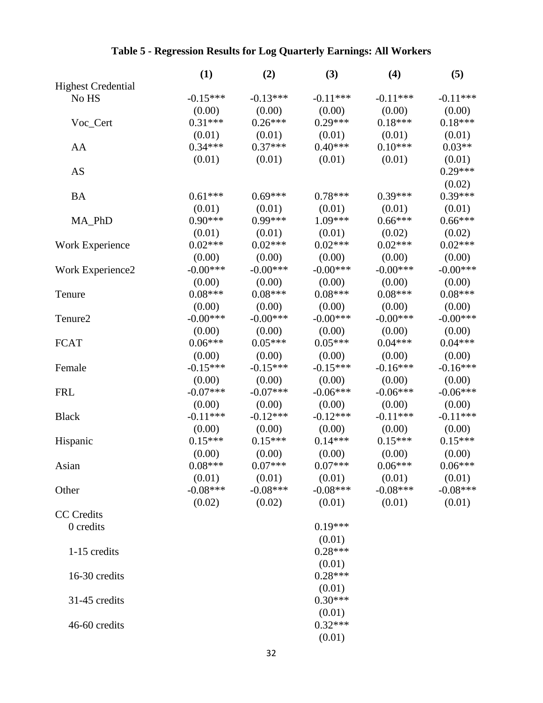|                           | (1)                  | (2)                  | (3)                  | (4)                  | (5)                  |
|---------------------------|----------------------|----------------------|----------------------|----------------------|----------------------|
| <b>Highest Credential</b> |                      |                      |                      |                      |                      |
| No HS                     | $-0.15***$           | $-0.13***$           | $-0.11***$           | $-0.11***$           | $-0.11***$           |
|                           | (0.00)               | (0.00)               | (0.00)               | (0.00)               | (0.00)               |
| Voc_Cert                  | $0.31***$            | $0.26***$            | $0.29***$            | $0.18***$            | $0.18***$            |
|                           | (0.01)               | (0.01)               | (0.01)               | (0.01)               | (0.01)               |
| AA                        | $0.34***$            | $0.37***$            | $0.40***$            | $0.10***$            | $0.03**$             |
|                           | (0.01)               | (0.01)               | (0.01)               | (0.01)               | (0.01)               |
| AS                        |                      |                      |                      |                      | $0.29***$            |
|                           |                      |                      |                      |                      | (0.02)               |
| <b>BA</b>                 | $0.61***$            | $0.69***$            | $0.78***$            | $0.39***$            | $0.39***$            |
|                           | (0.01)               | (0.01)               | (0.01)               | (0.01)               | (0.01)               |
| MA_PhD                    | $0.90***$            | $0.99***$            | $1.09***$            | $0.66***$            | $0.66***$            |
|                           | (0.01)               | (0.01)               | (0.01)               | (0.02)               | (0.02)               |
| Work Experience           | $0.02***$            | $0.02***$            | $0.02***$            | $0.02***$            | $0.02***$            |
|                           | (0.00)               | (0.00)               | (0.00)               | (0.00)               | (0.00)               |
| Work Experience2          | $-0.00***$           | $-0.00***$           | $-0.00***$           | $-0.00***$           | $-0.00***$           |
|                           | (0.00)               | (0.00)               | (0.00)               | (0.00)               | (0.00)               |
| Tenure                    | $0.08***$            | $0.08***$            | $0.08***$            | $0.08***$            | $0.08***$            |
|                           | (0.00)               | (0.00)               | (0.00)               | (0.00)               | (0.00)               |
| Tenure2                   | $-0.00***$           | $-0.00***$           | $-0.00***$           | $-0.00***$           | $-0.00***$           |
|                           | (0.00)<br>$0.06***$  | (0.00)               | (0.00)               | (0.00)               | (0.00)               |
| <b>FCAT</b>               |                      | $0.05***$            | $0.05***$            | $0.04***$            | $0.04***$            |
|                           | (0.00)<br>$-0.15***$ | (0.00)<br>$-0.15***$ | (0.00)<br>$-0.15***$ | (0.00)<br>$-0.16***$ | (0.00)<br>$-0.16***$ |
| Female                    | (0.00)               | (0.00)               | (0.00)               | (0.00)               | (0.00)               |
| <b>FRL</b>                | $-0.07***$           | $-0.07***$           | $-0.06***$           | $-0.06***$           | $-0.06***$           |
|                           | (0.00)               | (0.00)               | (0.00)               | (0.00)               | (0.00)               |
| <b>Black</b>              | $-0.11***$           | $-0.12***$           | $-0.12***$           | $-0.11***$           | $-0.11***$           |
|                           | (0.00)               | (0.00)               | (0.00)               | (0.00)               | (0.00)               |
| Hispanic                  | $0.15***$            | $0.15***$            | $0.14***$            | $0.15***$            | $0.15***$            |
|                           | (0.00)               | (0.00)               | (0.00)               | (0.00)               | (0.00)               |
| Asian                     | $0.08***$            | $0.07***$            | $0.07***$            | $0.06***$            | $0.06***$            |
|                           | (0.01)               | (0.01)               | (0.01)               | (0.01)               | (0.01)               |
| Other                     | $-0.08***$           | $-0.08***$           | $-0.08***$           | $-0.08***$           | $-0.08***$           |
|                           | (0.02)               | (0.02)               | (0.01)               | (0.01)               | (0.01)               |
| <b>CC</b> Credits         |                      |                      |                      |                      |                      |
| 0 credits                 |                      |                      | $0.19***$            |                      |                      |
|                           |                      |                      | (0.01)               |                      |                      |
| 1-15 credits              |                      |                      | $0.28***$            |                      |                      |
|                           |                      |                      | (0.01)               |                      |                      |
| 16-30 credits             |                      |                      | $0.28***$            |                      |                      |
|                           |                      |                      | (0.01)               |                      |                      |
| 31-45 credits             |                      |                      | $0.30***$            |                      |                      |
|                           |                      |                      | (0.01)               |                      |                      |
| 46-60 credits             |                      |                      | $0.32***$            |                      |                      |
|                           |                      |                      | (0.01)               |                      |                      |

# **Table 5 - Regression Results for Log Quarterly Earnings: All Workers**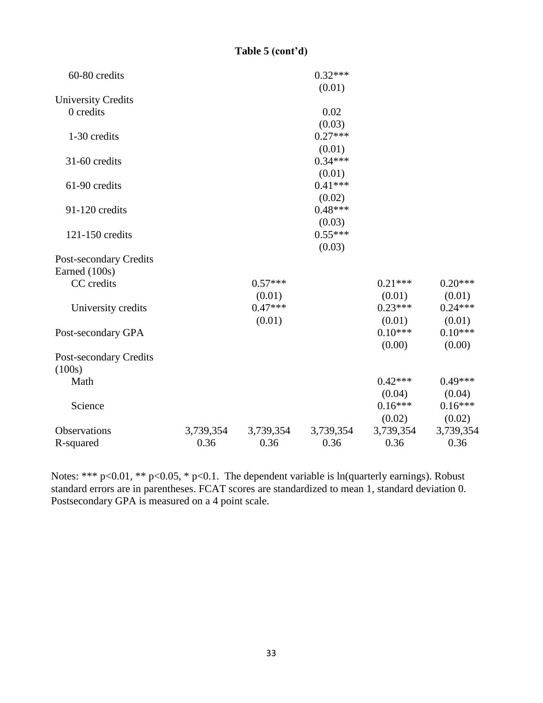# **Table 5 (cont'd)**

| 60-80 credits                 |           |           | $0.32***$ |           |           |
|-------------------------------|-----------|-----------|-----------|-----------|-----------|
|                               |           |           | (0.01)    |           |           |
| <b>University Credits</b>     |           |           |           |           |           |
| 0 credits                     |           |           | 0.02      |           |           |
|                               |           |           | (0.03)    |           |           |
| 1-30 credits                  |           |           | $0.27***$ |           |           |
|                               |           |           | (0.01)    |           |           |
| 31-60 credits                 |           |           | $0.34***$ |           |           |
|                               |           |           | (0.01)    |           |           |
| 61-90 credits                 |           |           | $0.41***$ |           |           |
|                               |           |           | (0.02)    |           |           |
| 91-120 credits                |           |           | $0.48***$ |           |           |
|                               |           |           | (0.03)    |           |           |
| 121-150 credits               |           |           | $0.55***$ |           |           |
|                               |           |           | (0.03)    |           |           |
| <b>Post-secondary Credits</b> |           |           |           |           |           |
| Earned (100s)                 |           |           |           |           |           |
| CC credits                    |           | $0.57***$ |           | $0.21***$ | $0.20***$ |
|                               |           | (0.01)    |           | (0.01)    | (0.01)    |
| University credits            |           | $0.47***$ |           | $0.23***$ | $0.24***$ |
|                               |           | (0.01)    |           | (0.01)    | (0.01)    |
| Post-secondary GPA            |           |           |           | $0.10***$ | $0.10***$ |
|                               |           |           |           | (0.00)    | (0.00)    |
| Post-secondary Credits        |           |           |           |           |           |
| (100s)                        |           |           |           |           |           |
| Math                          |           |           |           | $0.42***$ | $0.49***$ |
|                               |           |           |           | (0.04)    | (0.04)    |
| Science                       |           |           |           | $0.16***$ | $0.16***$ |
|                               |           |           |           | (0.02)    | (0.02)    |
| Observations                  | 3,739,354 | 3,739,354 | 3,739,354 | 3,739,354 | 3,739,354 |
| R-squared                     | 0.36      | 0.36      | 0.36      | 0.36      | 0.36      |

Notes: \*\*\*  $p<0.01$ , \*\*  $p<0.05$ , \*  $p<0.1$ . The dependent variable is ln(quarterly earnings). Robust standard errors are in parentheses. FCAT scores are standardized to mean 1, standard deviation 0. Postsecondary GPA is measured on a 4 point scale.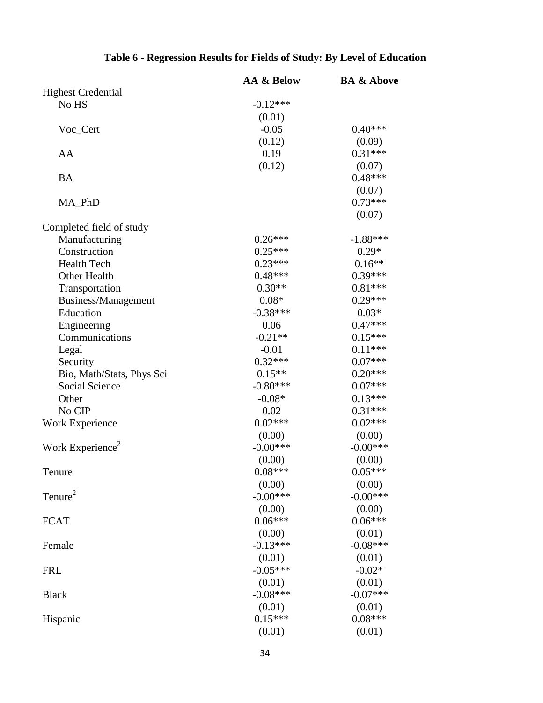# **Table 6 - Regression Results for Fields of Study: By Level of Education**

|                                  | AA & Below | <b>BA &amp; Above</b> |
|----------------------------------|------------|-----------------------|
| <b>Highest Credential</b>        |            |                       |
| No HS                            | $-0.12***$ |                       |
|                                  | (0.01)     |                       |
| Voc_Cert                         | $-0.05$    | $0.40***$             |
|                                  | (0.12)     | (0.09)                |
| AA                               | 0.19       | $0.31***$             |
|                                  | (0.12)     | (0.07)                |
| <b>BA</b>                        |            | $0.48***$             |
|                                  |            | (0.07)                |
| MA_PhD                           |            | $0.73***$             |
|                                  |            | (0.07)                |
| Completed field of study         |            |                       |
| Manufacturing                    | $0.26***$  | $-1.88***$            |
| Construction                     | $0.25***$  | $0.29*$               |
| <b>Health Tech</b>               | $0.23***$  | $0.16**$              |
| Other Health                     | $0.48***$  | $0.39***$             |
| Transportation                   | $0.30**$   | $0.81***$             |
|                                  | $0.08*$    | $0.29***$             |
| Business/Management<br>Education | $-0.38***$ | $0.03*$               |
|                                  | 0.06       | $0.47***$             |
| Engineering                      | $-0.21**$  | $0.15***$             |
| Communications                   |            |                       |
| Legal                            | $-0.01$    | $0.11***$             |
| Security                         | $0.32***$  | $0.07***$             |
| Bio, Math/Stats, Phys Sci        | $0.15**$   | $0.20***$             |
| Social Science                   | $-0.80***$ | $0.07***$             |
| Other                            | $-0.08*$   | $0.13***$             |
| No CIP                           | 0.02       | $0.31***$             |
| Work Experience                  | $0.02***$  | $0.02***$             |
|                                  | (0.00)     | (0.00)                |
| Work Experience <sup>2</sup>     | $-0.00***$ | $-0.00***$            |
|                                  | (0.00)     | (0.00)                |
| Tenure                           | $0.08***$  | $0.05***$             |
|                                  | (0.00)     | (0.00)                |
| Tenure <sup>2</sup>              | $-0.00***$ | $-0.00***$            |
|                                  | (0.00)     | (0.00)                |
| <b>FCAT</b>                      | $0.06***$  | $0.06***$             |
|                                  | (0.00)     | (0.01)                |
| Female                           | $-0.13***$ | $-0.08***$            |
|                                  | (0.01)     | (0.01)                |
| <b>FRL</b>                       | $-0.05***$ | $-0.02*$              |
|                                  | (0.01)     | (0.01)                |
| <b>Black</b>                     | $-0.08***$ | $-0.07***$            |
|                                  | (0.01)     | (0.01)                |
| Hispanic                         | $0.15***$  | $0.08***$             |
|                                  | (0.01)     | (0.01)                |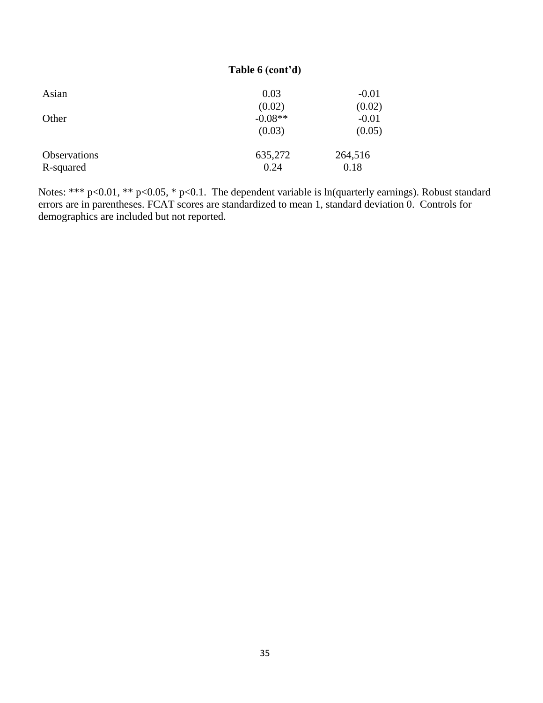|                     | Table 6 (cont'd) |         |
|---------------------|------------------|---------|
| Asian               | 0.03             | $-0.01$ |
|                     | (0.02)           | (0.02)  |
| Other               | $-0.08**$        | $-0.01$ |
|                     | (0.03)           | (0.05)  |
| <b>Observations</b> | 635,272          | 264,516 |
| R-squared           | 0.24             | 0.18    |

Notes: \*\*\* p<0.01, \*\* p<0.05, \* p<0.1. The dependent variable is ln(quarterly earnings). Robust standard errors are in parentheses. FCAT scores are standardized to mean 1, standard deviation 0. Controls for demographics are included but not reported.